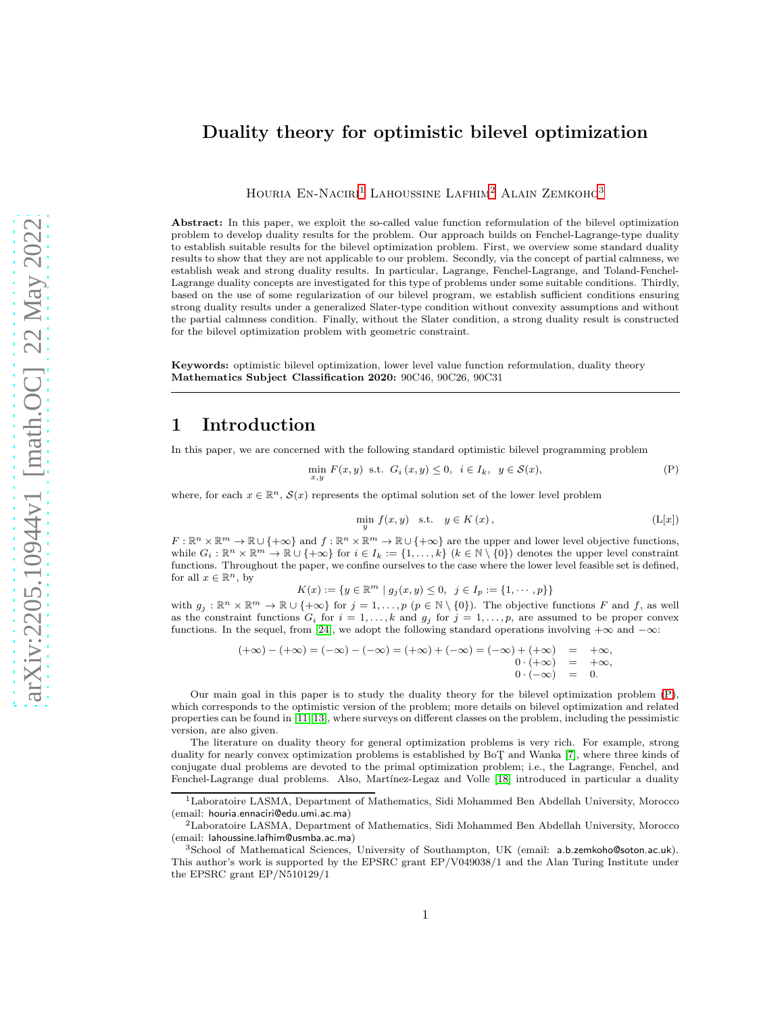# Duality theory for optimistic bilevel optimization

HOURIA EN-NACIRI<sup>[1](#page-0-0)</sup> LAHOUSSINE LAFHIM<sup>[2](#page-0-1)</sup> ALAIN ZEMKOHO<sup>[3](#page-0-2)</sup>

Abstract: In this paper, we exploit the so-called value function reformulation of the bilevel optimization problem to develop duality results for the problem. Our approach builds on Fenchel-Lagrange-type duality to establish suitable results for the bilevel optimization problem. First, we overview some standard duality results to show that they are not applicable to our problem. Secondly, via the concept of partial calmness, we establish weak and strong duality results. In particular, Lagrange, Fenchel-Lagrange, and Toland-Fenchel-Lagrange duality concepts are investigated for this type of problems under some suitable conditions. Thirdly, based on the use of some regularization of our bilevel program, we establish sufficient conditions ensuring strong duality results under a generalized Slater-type condition without convexity assumptions and without the partial calmness condition. Finally, without the Slater condition, a strong duality result is constructed for the bilevel optimization problem with geometric constraint.

Keywords: optimistic bilevel optimization, lower level value function reformulation, duality theory Mathematics Subject Classification 2020: 90C46, 90C26, 90C31

## 1 Introduction

In this paper, we are concerned with the following standard optimistic bilevel programming problem

$$
\min_{x,y} F(x,y) \text{ s.t. } G_i(x,y) \le 0, \quad i \in I_k, \quad y \in \mathcal{S}(x),
$$
 (P)

where, for each  $x \in \mathbb{R}^n$ ,  $\mathcal{S}(x)$  represents the optimal solution set of the lower level problem

<span id="page-0-4"></span><span id="page-0-3"></span>
$$
\min_{y} f(x, y) \quad \text{s.t.} \quad y \in K(x), \tag{L[x]}
$$

 $F: \mathbb{R}^n \times \mathbb{R}^m \to \mathbb{R} \cup \{+\infty\}$  and  $f: \mathbb{R}^n \times \mathbb{R}^m \to \mathbb{R} \cup \{+\infty\}$  are the upper and lower level objective functions, while  $G_i: \mathbb{R}^n \times \mathbb{R}^m \to \mathbb{R} \cup \{+\infty\}$  for  $i \in I_k := \{1, \ldots, k\}$   $(k \in \mathbb{N} \setminus \{0\})$  denotes the upper level constraint functions. Throughout the paper, we confine ourselves to the case where the lower level feasible set is defined, for all  $x \in \mathbb{R}^n$ , by

 $K(x) := \{y \in \mathbb{R}^m \mid g_j(x, y) \leq 0, \ j \in I_p := \{1, \dots, p\}\}\$ 

with  $g_j : \mathbb{R}^n \times \mathbb{R}^m \to \mathbb{R} \cup \{+\infty\}$  for  $j = 1, \ldots, p$   $(p \in \mathbb{N} \setminus \{0\})$ . The objective functions F and f, as well as the constraint functions  $G_i$  for  $i = 1, \ldots, k$  and  $g_j$  for  $j = 1, \ldots, p$ , are assumed to be proper convex functions. In the sequel, from [\[24\]](#page-17-0), we adopt the following standard operations involving  $+\infty$  and  $-\infty$ :

$$
(+\infty) - (+\infty) = (-\infty) - (-\infty) = (+\infty) + (-\infty) = (-\infty) + (+\infty) = +\infty, \n0 \cdot (+\infty) = +\infty, \n0 \cdot (-\infty) = 0.
$$

Our main goal in this paper is to study the duality theory for the bilevel optimization problem [\(P\)](#page-0-3), which corresponds to the optimistic version of the problem; more details on bilevel optimization and related properties can be found in [\[11,](#page-17-1) [13\]](#page-17-2), where surveys on different classes on the problem, including the pessimistic version, are also given.

The literature on duality theory for general optimization problems is very rich. For example, strong duality for nearly convex optimization problems is established by BoT¸ and Wanka [\[7\]](#page-17-3), where three kinds of conjugate dual problems are devoted to the primal optimization problem; i.e., the Lagrange, Fenchel, and Fenchel-Lagrange dual problems. Also, Martínez-Legaz and Volle [\[18\]](#page-17-4) introduced in particular a duality

<span id="page-0-0"></span><sup>1</sup>Laboratoire LASMA, Department of Mathematics, Sidi Mohammed Ben Abdellah University, Morocco (email: houria.ennaciri@edu.umi.ac.ma)

 ${}^{2}$ Laboratoire LASMA, Department of Mathematics, Sidi Mohammed Ben Abdellah University, Morocco (email: lahoussine.lafhim@usmba.ac.ma)

<span id="page-0-2"></span><span id="page-0-1"></span><sup>3</sup>School of Mathematical Sciences, University of Southampton, UK (email: a.b.zemkoho@soton.ac.uk). This author's work is supported by the EPSRC grant EP/V049038/1 and the Alan Turing Institute under the EPSRC grant EP/N510129/1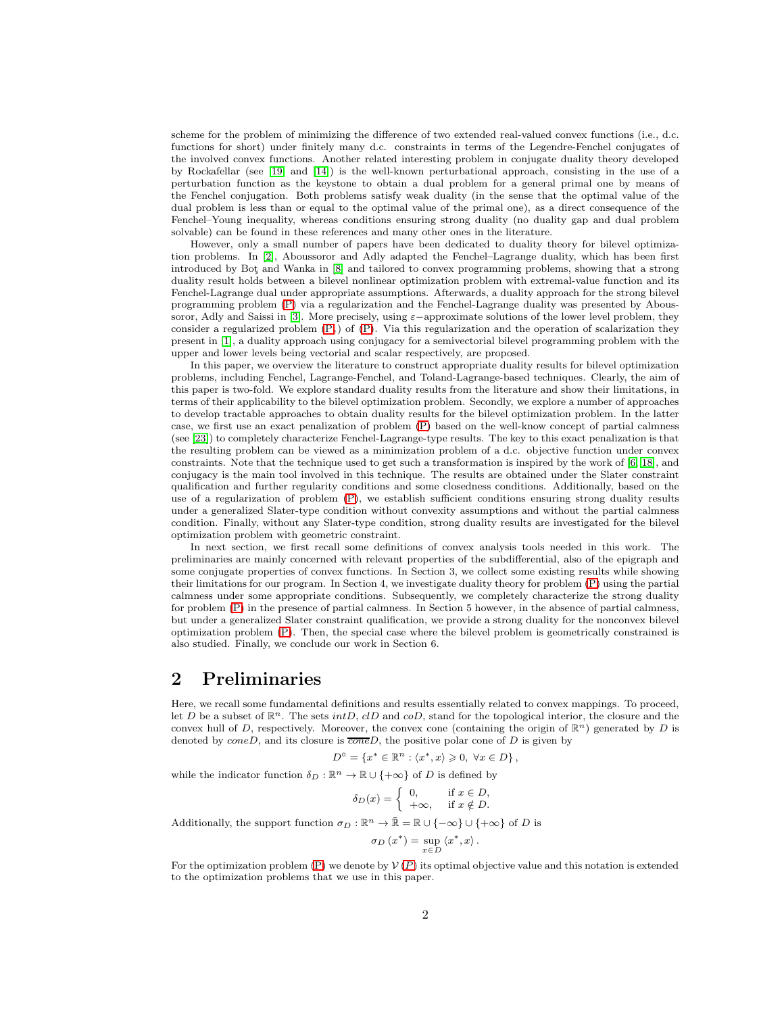scheme for the problem of minimizing the difference of two extended real-valued convex functions (i.e., d.c. functions for short) under finitely many d.c. constraints in terms of the Legendre-Fenchel conjugates of the involved convex functions. Another related interesting problem in conjugate duality theory developed by Rockafellar (see [\[19\]](#page-17-5) and [\[14\]](#page-17-6)) is the well-known perturbational approach, consisting in the use of a perturbation function as the keystone to obtain a dual problem for a general primal one by means of the Fenchel conjugation. Both problems satisfy weak duality (in the sense that the optimal value of the dual problem is less than or equal to the optimal value of the primal one), as a direct consequence of the Fenchel–Young inequality, whereas conditions ensuring strong duality (no duality gap and dual problem solvable) can be found in these references and many other ones in the literature.

However, only a small number of papers have been dedicated to duality theory for bilevel optimization problems. In [\[2\]](#page-16-0), Aboussoror and Adly adapted the Fenchel–Lagrange duality, which has been first introduced by Bot¸ and Wanka in [8] and tailored to convex programming problems, showing that a strong duality result holds between a bilevel nonlinear optimization problem with extremal-value function and its Fenchel-Lagrange dual under appropriate assumptions. Afterwards, a duality approach for the strong bilevel programming problem [\(P\)](#page-0-3) via a regularization and the Fenchel-Lagrange duality was presented by Abous-soror, Adly and Saissi in [\[3\]](#page-16-1). More precisely, using  $\varepsilon$ −approximate solutions of the lower level problem, they consider a regularized problem  $(P_{\epsilon})$  of  $(P)$ . Via this regularization and the operation of scalarization they present in [1], a duality approach using conjugacy for a semivectorial bilevel programming problem with the upper and lower levels being vectorial and scalar respectively, are proposed.

In this paper, we overview the literature to construct appropriate duality results for bilevel optimization problems, including Fenchel, Lagrange-Fenchel, and Toland-Lagrange-based techniques. Clearly, the aim of this paper is two-fold. We explore standard duality results from the literature and show their limitations, in terms of their applicability to the bilevel optimization problem. Secondly, we explore a number of approaches to develop tractable approaches to obtain duality results for the bilevel optimization problem. In the latter case, we first use an exact penalization of problem [\(P\)](#page-0-3) based on the well-know concept of partial calmness (see [\[23\]](#page-17-7)) to completely characterize Fenchel-Lagrange-type results. The key to this exact penalization is that the resulting problem can be viewed as a minimization problem of a d.c. objective function under convex constraints. Note that the technique used to get such a transformation is inspired by the work of [\[6,](#page-17-8) [18\]](#page-17-4), and conjugacy is the main tool involved in this technique. The results are obtained under the Slater constraint qualification and further regularity conditions and some closedness conditions. Additionally, based on the use of a regularization of problem [\(P\)](#page-0-3), we establish sufficient conditions ensuring strong duality results under a generalized Slater-type condition without convexity assumptions and without the partial calmness condition. Finally, without any Slater-type condition, strong duality results are investigated for the bilevel optimization problem with geometric constraint.

In next section, we first recall some definitions of convex analysis tools needed in this work. The preliminaries are mainly concerned with relevant properties of the subdifferential, also of the epigraph and some conjugate properties of convex functions. In Section 3, we collect some existing results while showing their limitations for our program. In Section 4, we investigate duality theory for problem [\(P\)](#page-0-3) using the partial calmness under some appropriate conditions. Subsequently, we completely characterize the strong duality for problem [\(P\)](#page-0-3) in the presence of partial calmness. In Section 5 however, in the absence of partial calmness, but under a generalized Slater constraint qualification, we provide a strong duality for the nonconvex bilevel optimization problem [\(P\)](#page-0-3). Then, the special case where the bilevel problem is geometrically constrained is also studied. Finally, we conclude our work in Section 6.

## 2 Preliminaries

Here, we recall some fundamental definitions and results essentially related to convex mappings. To proceed, let D be a subset of  $\mathbb{R}^n$ . The sets  $intD$ ,  $clD$  and  $coD$ , stand for the topological interior, the closure and the convex hull of D, respectively. Moreover, the convex cone (containing the origin of  $\mathbb{R}^n$ ) generated by D is denoted by  $coneD$ , and its closure is  $\overline{cone}D$ , the positive polar cone of D is given by

$$
D^{\circ} = \{x^* \in \mathbb{R}^n : \langle x^*, x \rangle \geqslant 0, \ \forall x \in D\},\
$$

while the indicator function  $\delta_D : \mathbb{R}^n \to \mathbb{R} \cup \{+\infty\}$  of D is defined by

$$
\delta_D(x) = \begin{cases} 0, & \text{if } x \in D, \\ +\infty, & \text{if } x \notin D. \end{cases}
$$

Additionally, the support function  $\sigma_D : \mathbb{R}^n \to \bar{\mathbb{R}} = \mathbb{R} \cup \{-\infty\} \cup \{+\infty\}$  of D is

$$
\sigma_D(x^*) = \sup_{x \in D} \langle x^*, x \rangle.
$$

For the optimization problem [\(P\)](#page-0-3) we denote by  $V(P)$  $V(P)$  $V(P)$  its optimal objective value and this notation is extended to the optimization problems that we use in this paper.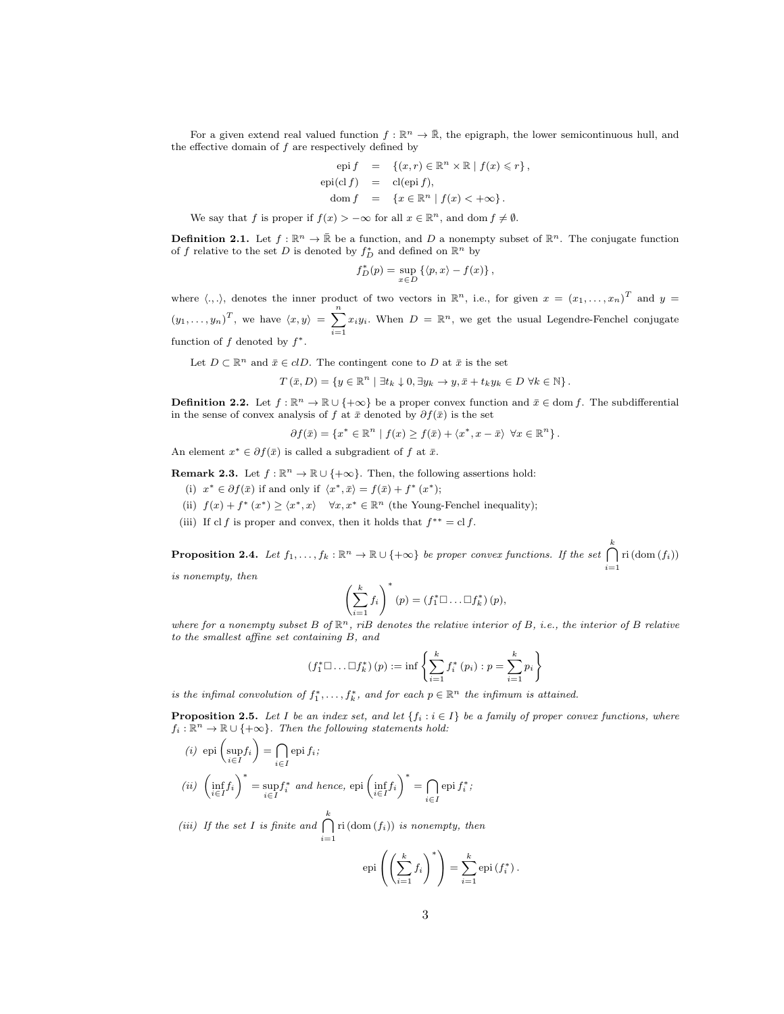For a given extend real valued function  $f: \mathbb{R}^n \to \bar{\mathbb{R}}$ , the epigraph, the lower semicontinuous hull, and the effective domain of  $f$  are respectively defined by

$$
\begin{array}{rcl}\n\text{epi } f & = & \{(x, r) \in \mathbb{R}^n \times \mathbb{R} \mid f(x) \leq r\}, \\
\text{epi}(\text{cl } f) & = & \text{cl}(\text{epi } f), \\
\text{dom } f & = & \{x \in \mathbb{R}^n \mid f(x) < +\infty\}.\n\end{array}
$$

We say that f is proper if  $f(x) > -\infty$  for all  $x \in \mathbb{R}^n$ , and dom  $f \neq \emptyset$ .

<span id="page-2-0"></span>**Definition 2.1.** Let  $f : \mathbb{R}^n \to \bar{\mathbb{R}}$  be a function, and D a nonempty subset of  $\mathbb{R}^n$ . The conjugate function of f relative to the set D is denoted by  $f_D^*$  and defined on  $\mathbb{R}^n$  by

$$
f_D^*(p) = \sup_{x \in D} \left\{ \langle p, x \rangle - f(x) \right\},\,
$$

where  $\langle .,.\rangle$ , denotes the inner product of two vectors in  $\mathbb{R}^n$ , i.e., for given  $x = (x_1, \ldots, x_n)^T$  and  $y =$  $(y_1, \ldots, y_n)^T$ , we have  $\langle x, y \rangle = \sum_{n=1}^{\infty}$  $i=1$  $x_i y_i$ . When  $D = \mathbb{R}^n$ , we get the usual Legendre-Fenchel conjugate function of  $f$  denoted by  $f^*$ .

Let  $D \subset \mathbb{R}^n$  and  $\bar{x} \in clD$ . The contingent cone to D at  $\bar{x}$  is the set

$$
T(\bar{x}, D) = \{ y \in \mathbb{R}^n \mid \exists t_k \downarrow 0, \exists y_k \to y, \bar{x} + t_k y_k \in D \ \forall k \in \mathbb{N} \}.
$$

**Definition 2.2.** Let  $f : \mathbb{R}^n \to \mathbb{R} \cup \{+\infty\}$  be a proper convex function and  $\bar{x} \in \text{dom } f$ . The subdifferential in the sense of convex analysis of f at  $\bar{x}$  denoted by  $\partial f(\bar{x})$  is the set

$$
\partial f(\bar{x}) = \{x^* \in \mathbb{R}^n \mid f(x) \ge f(\bar{x}) + \langle x^*, x - \bar{x} \rangle \ \forall x \in \mathbb{R}^n \}.
$$

An element  $x^* \in \partial f(\bar{x})$  is called a subgradient of f at  $\bar{x}$ .

**Remark 2.3.** Let  $f : \mathbb{R}^n \to \mathbb{R} \cup \{+\infty\}$ . Then, the following assertions hold:

- (i)  $x^* \in \partial f(\bar{x})$  if and only if  $\langle x^*, \bar{x} \rangle = f(\bar{x}) + f^*(x^*);$
- (ii)  $f(x) + f^*(x^*) \geq \langle x^*, x \rangle \quad \forall x, x^* \in \mathbb{R}^n$  (the Young-Fenchel inequality);
- (iii) If cl f is proper and convex, then it holds that  $f^{**} = cl f$ .

<span id="page-2-2"></span>**Proposition 2.4.** Let  $f_1, \ldots, f_k : \mathbb{R}^n \to \mathbb{R} \cup \{+\infty\}$  be proper convex functions. If the set  $\bigcap_{k=1}^k$  $i=1$ ri  $\left( \mathrm{dom}\left( f_{i}\right) \right)$ is nonempty, then

$$
\left(\sum^k f_i\right)^*(p) = \left(f_1^* \square \dots \square f_k^*\right)(p),
$$

where for a nonempty subset 
$$
B
$$
 of  $\mathbb{R}^n$ ,  $r$  is denotes the relative interior of  $B$ , i.e., the interior of  $B$  relative to the smallest affine set containing  $B$ , and

$$
(f_1^* \square ... \square f_k^*) (p) := \inf \left\{ \sum_{i=1}^k f_i^* (p_i) : p = \sum_{i=1}^k p_i \right\}
$$

is the infimal convolution of  $f_1^*, \ldots, f_k^*$ , and for each  $p \in \mathbb{R}^n$  the infimum is attained.

<span id="page-2-1"></span>**Proposition 2.5.** Let I be an index set, and let  $\{f_i : i \in I\}$  be a family of proper convex functions, where  $f_i : \mathbb{R}^n \to \mathbb{R} \cup \{+\infty\}$ . Then the following statements hold:

(i) 
$$
\operatorname{epi}\left(\sup_{i \in I} f_i\right) = \bigcap_{i \in I} \operatorname{epi} f_i;
$$
  
\n(ii)  $\left(\inf_{i \in I} f_i\right)^* = \sup_{i \in I} f_i^*$  and hence,  $\operatorname{epi}\left(\inf_{i \in I} f_i\right)^* = \bigcap_{i \in I} \operatorname{epi} f_i^*$ ;

(iii) If the set I is finite and  $\bigcap^k$  $i=1$  $\operatorname{ri}(\operatorname{dom}(f_i))$  is nonempty, then

$$
epi\left(\left(\sum_{i=1}^k f_i\right)^*\right) = \sum_{i=1}^k epi\left(f_i^*\right).
$$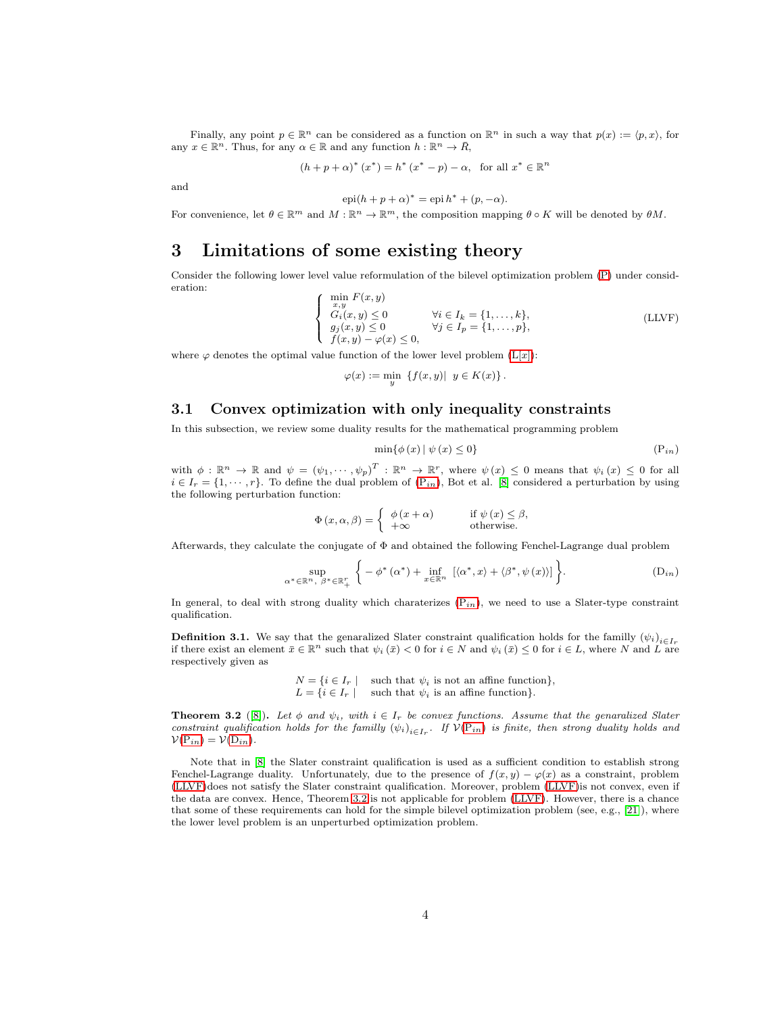Finally, any point  $p \in \mathbb{R}^n$  can be considered as a function on  $\mathbb{R}^n$  in such a way that  $p(x) := \langle p, x \rangle$ , for any  $x \in \mathbb{R}^n$ . Thus, for any  $\alpha \in \mathbb{R}$  and any function  $h : \mathbb{R}^n \to \overline{R}$ ,

$$
(h+p+\alpha)^*(x^*) = h^*(x^*-p) - \alpha
$$
, for all  $x^* \in \mathbb{R}^n$ 

and

 $epi(h + p + \alpha)^* = epi h^* + (p, -\alpha).$ For convenience, let  $\theta \in \mathbb{R}^m$  and  $M : \mathbb{R}^n \to \mathbb{R}^m$ , the composition mapping  $\theta \circ K$  will be denoted by  $\theta M$ .

# 3 Limitations of some existing theory

Consider the following lower level value reformulation of the bilevel optimization problem [\(P\)](#page-0-3) under consideration:

$$
\begin{cases}\n\min_{x,y} F(x,y) \\
G_i(x,y) \le 0 \\
g_j(x,y) \le 0 \\
f(x,y) - \varphi(x) \le 0,\n\end{cases}\n\forall i \in I_k = \{1, \ldots, k\},\n\tag{LLVF}
$$

where  $\varphi$  denotes the optimal value function of the lower level problem [\(L\[](#page-0-4)x]):

$$
\varphi(x) := \min_{y} \left\{ f(x, y) \middle| y \in K(x) \right\}.
$$

## 3.1 Convex optimization with only inequality constraints

In this subsection, we review some duality results for the mathematical programming problem

<span id="page-3-2"></span><span id="page-3-1"></span><span id="page-3-0"></span>
$$
\min\{\phi(x) \mid \psi(x) \le 0\} \tag{Pin}
$$

with  $\phi: \mathbb{R}^n \to \mathbb{R}$  and  $\psi = (\psi_1, \dots, \psi_p)^T : \mathbb{R}^n \to \mathbb{R}^r$ , where  $\psi(x) \leq 0$  means that  $\psi_i(x) \leq 0$  for all  $i \in I_r = \{1, \dots, r\}$ . To define the dual problem of  $(P_{in})$ , Bot et al. [8] considered a perturbation by using the following perturbation function:

$$
\Phi(x, \alpha, \beta) = \begin{cases} \phi(x + \alpha) & \text{if } \psi(x) \leq \beta, \\ +\infty & \text{otherwise.} \end{cases}
$$

Afterwards, they calculate the conjugate of Φ and obtained the following Fenchel-Lagrange dual problem

$$
\sup_{\alpha^* \in \mathbb{R}^n, \ \beta^* \in \mathbb{R}_+^r} \left\{-\phi^*(\alpha^*) + \inf_{x \in \mathbb{R}^n} \left[\langle \alpha^*, x \rangle + \langle \beta^*, \psi(x) \rangle \right] \right\}.
$$
 (D<sub>in</sub>)

In general, to deal with strong duality which charaterizes  $(P_{in})$ , we need to use a Slater-type constraint qualification.

**Definition 3.1.** We say that the genaralized Slater constraint qualification holds for the familly  $(\psi_i)_{i \in I_r}$ if there exist an element  $\bar{x} \in \mathbb{R}^n$  such that  $\psi_i(\bar{x}) < 0$  for  $i \in N$  and  $\psi_i(\bar{x}) \le 0$  for  $i \in L$ , where N and L are respectively given as

> $N = \{i \in I_r \mid \text{ such that } \psi_i \text{ is not an affine function}\},\$  $L = \{i \in I_r \mid \text{ such that } \psi_i \text{ is an affine function}\}.$

<span id="page-3-3"></span>**Theorem 3.2** ([8]). Let  $\phi$  and  $\psi_i$ , with  $i \in I_r$  be convex functions. Assume that the genaralized Slater constraint qualification holds for the familly  $(\psi_i)_{i\in I_r}$ . If  $\mathcal{V}(\mathrm{P}_{in})$  is finite, then strong duality holds and  $V(P_{in}) = V(D_{in}).$  $V(P_{in}) = V(D_{in}).$  $V(P_{in}) = V(D_{in}).$  $V(P_{in}) = V(D_{in}).$  $V(P_{in}) = V(D_{in}).$ 

Note that in [8] the Slater constraint qualification is used as a sufficient condition to establish strong Fenchel-Lagrange duality. Unfortunately, due to the presence of  $f(x, y) - \varphi(x)$  as a constraint, problem [\(LLVF\)](#page-3-2)does not satisfy the Slater constraint qualification. Moreover, problem [\(LLVF\)](#page-3-2)is not convex, even if the data are convex. Hence, Theorem [3.2](#page-3-3) is not applicable for problem [\(LLVF\)](#page-3-2). However, there is a chance that some of these requirements can hold for the simple bilevel optimization problem (see, e.g., [\[21\]](#page-17-9)), where the lower level problem is an unperturbed optimization problem.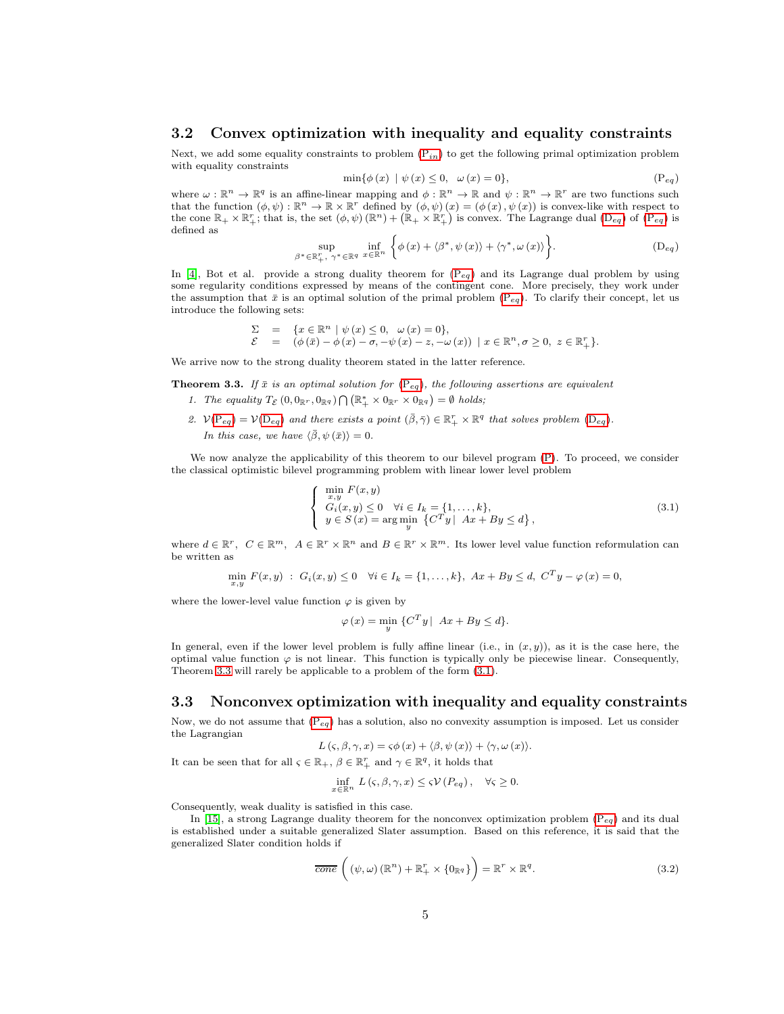#### 3.2 Convex optimization with inequality and equality constraints

Next, we add some equality constraints to problem  $(P_{in})$  to get the following primal optimization problem with equality constraints

<span id="page-4-1"></span><span id="page-4-0"></span>
$$
\min\{\phi(x) \mid \psi(x) \le 0, \quad \omega(x) = 0\},\tag{Peq}
$$

where  $\omega : \mathbb{R}^n \to \mathbb{R}^q$  is an affine-linear mapping and  $\phi : \mathbb{R}^n \to \mathbb{R}$  and  $\psi : \mathbb{R}^n \to \mathbb{R}^r$  are two functions such that the function  $(\phi, \psi) : \mathbb{R}^n \to \mathbb{R} \times \mathbb{R}^r$  defined by  $(\phi, \psi)(x) = (\phi(x), \psi(x))$  is convex-like with respect to the cone  $\mathbb{R}_+ \times \mathbb{R}_+^r$ ; that is, the set  $(\phi, \psi) (\mathbb{R}^n) + (\mathbb{R}_+ \times \mathbb{R}_+^r)$  is convex. The Lagrange dual  $(D_{eq})$  of  $(P_{eq})$  is defined as

$$
\sup_{\beta^* \in \mathbb{R}_+^r, \ \gamma^* \in \mathbb{R}^q} \ \inf_{x \in \mathbb{R}^n} \left\{ \phi(x) + \langle \beta^*, \psi(x) \rangle + \langle \gamma^*, \omega(x) \rangle \right\}.
$$
 (D<sub>eg</sub>)

In [\[4\]](#page-16-2), Bot et al. provide a strong duality theorem for  $(P_{eq})$  and its Lagrange dual problem by using some regularity conditions expressed by means of the contingent cone. More precisely, they work under the assumption that  $\bar{x}$  is an optimal solution of the primal problem [\(P](#page-4-1)<sub>eq</sub>). To clarify their concept, let us introduce the following sets:

$$
\begin{array}{lll} \Sigma&=&\{x\in \mathbb{R}^n\mid \psi\left(x\right)\leq 0,\;\; \omega\left(x\right)=0\},\\ \mathcal{E}&=&\left(\phi\left(\bar{x}\right)-\phi\left(x\right)-\sigma,-\psi\left(x\right)-z,-\omega\left(x\right)\right)\;\rvert\;x\in \mathbb{R}^n,\sigma\geq 0,\;z\in \mathbb{R}^r_+\}. \end{array}
$$

We arrive now to the strong duality theorem stated in the latter reference.

<span id="page-4-2"></span>**Theorem 3.3.** If  $\bar{x}$  is an optimal solution for  $(P_{eq})$  $(P_{eq})$ , the following assertions are equivalent

- 1. The equality  $T_{\mathcal{E}}(0,0_{\mathbb{R}^r},0_{\mathbb{R}^q})\bigcap(\mathbb{R}_+^*\times 0_{\mathbb{R}^r}\times 0_{\mathbb{R}^q})=\emptyset$  holds;
- 2.  $V(P_{eq}) = V(D_{eq})$  $V(P_{eq}) = V(D_{eq})$  $V(P_{eq}) = V(D_{eq})$  $V(P_{eq}) = V(D_{eq})$  $V(P_{eq}) = V(D_{eq})$  and there exists a point  $(\bar{\beta}, \bar{\gamma}) \in \mathbb{R}^r_+ \times \mathbb{R}^q$  that solves problem  $(D_{eq})$ . In this case, we have  $\langle \bar{\beta}, \psi(\bar{x}) \rangle = 0$ .

We now analyze the applicability of this theorem to our bilevel program [\(P\)](#page-0-3). To proceed, we consider the classical optimistic bilevel programming problem with linear lower level problem

<span id="page-4-3"></span>
$$
\begin{cases}\n\min_{x,y} F(x,y) \\
G_i(x,y) \le 0 \quad \forall i \in I_k = \{1,\ldots,k\}, \\
y \in S(x) = \arg\min_y \{C^T y \mid Ax + By \le d\},\n\end{cases}
$$
\n(3.1)

where  $d \in \mathbb{R}^r$ ,  $C \in \mathbb{R}^m$ ,  $A \in \mathbb{R}^r \times \mathbb{R}^n$  and  $B \in \mathbb{R}^r \times \mathbb{R}^m$ . Its lower level value function reformulation can be written as

$$
\min_{x,y} F(x,y) : G_i(x,y) \le 0 \quad \forall i \in I_k = \{1,\ldots,k\}, \ Ax + By \le d, \ C^T y - \varphi(x) = 0,
$$

where the lower-level value function  $\varphi$  is given by

$$
\varphi(x) = \min_{y} \{C^T y \mid Ax + By \le d\}.
$$

In general, even if the lower level problem is fully affine linear (i.e., in  $(x, y)$ ), as it is the case here, the optimal value function  $\varphi$  is not linear. This function is typically only be piecewise linear. Consequently, Theorem [3.3](#page-4-2) will rarely be applicable to a problem of the form [\(3.1\)](#page-4-3).

#### 3.3 Nonconvex optimization with inequality and equality constraints

Now, we do not assume that  $(P_{eq})$  has a solution, also no convexity assumption is imposed. Let us consider the Lagrangian

$$
L(\varsigma, \beta, \gamma, x) = \varsigma \phi(x) + \langle \beta, \psi(x) \rangle + \langle \gamma, \omega(x) \rangle.
$$

It can be seen that for all  $\varsigma \in \mathbb{R}_+$ ,  $\beta \in \mathbb{R}_+^r$  and  $\gamma \in \mathbb{R}^q$ , it holds that

$$
\inf_{x \in \mathbb{R}^n} L(\varsigma, \beta, \gamma, x) \leq \varsigma \mathcal{V}(P_{eq}), \quad \forall \varsigma \geq 0.
$$

Consequently, weak duality is satisfied in this case.

In [\[15\]](#page-17-10), a strong Lagrange duality theorem for the nonconvex optimization problem  $(P_{eq})$  and its dual is established under a suitable generalized Slater assumption. Based on this reference, it is said that the generalized Slater condition holds if

<span id="page-4-4"></span>
$$
\overline{cone}\left((\psi,\omega)(\mathbb{R}^n)+\mathbb{R}_+^r\times\{0_{\mathbb{R}^q}\}\right)=\mathbb{R}^r\times\mathbb{R}^q.
$$
\n(3.2)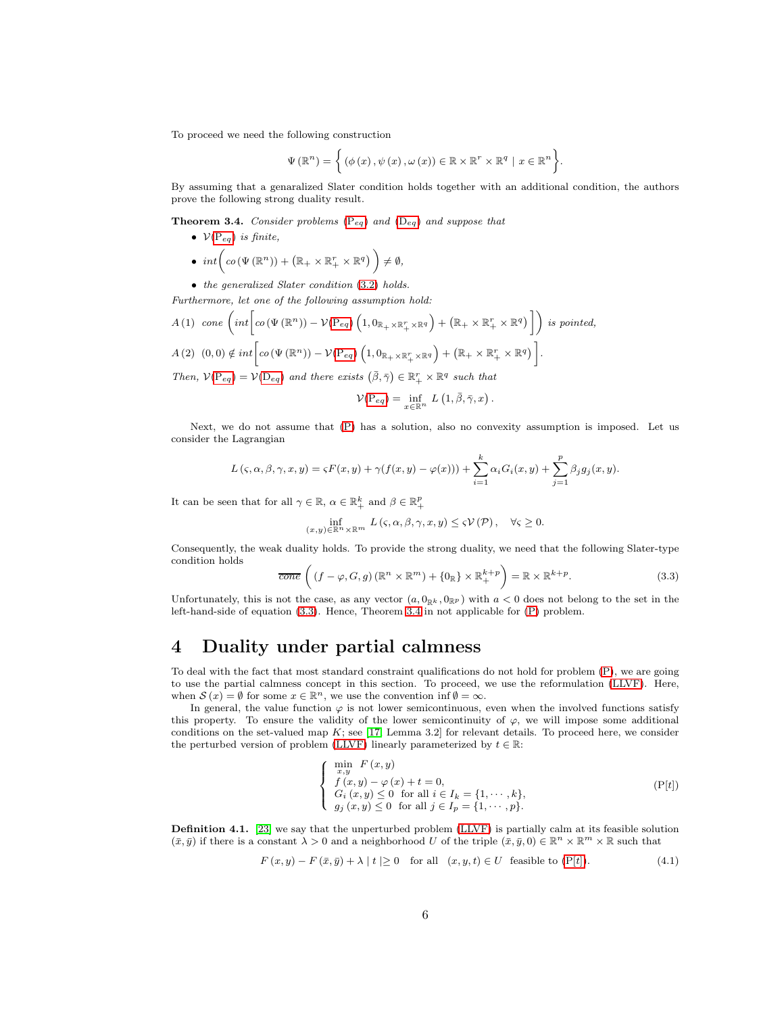To proceed we need the following construction

$$
\Psi(\mathbb{R}^{n}) = \left\{ (\phi(x), \psi(x), \omega(x)) \in \mathbb{R} \times \mathbb{R}^{r} \times \mathbb{R}^{q} \mid x \in \mathbb{R}^{n} \right\}.
$$

By assuming that a genaralized Slater condition holds together with an additional condition, the authors prove the following strong duality result.

<span id="page-5-1"></span>**Theorem 3.4.** Consider problems  $(P_{eq})$  $(P_{eq})$  and  $(D_{eq})$  $(D_{eq})$  and suppose that

- $V(P_{eq})$  $V(P_{eq})$  $V(P_{eq})$  is finite, •  $int\left( co\left( \Psi \left( \mathbb{R}^{n}\right) \right) +\left( \mathbb{R}_{+}\times \mathbb{R}_{+}^{r}\times \mathbb{R}^{q}\right) \ \right) \neq \emptyset ,$
- the generalized Slater condition (3.[2\)](#page-4-4) holds.

Furthermore, let one of the following assumption hold:

$$
A(1) \quad cone \left( int \left[ co \left( \Psi \left( \mathbb{R}^n \right) \right) - \mathcal{V}(\mathrm{P}_{eq}) \left( 1, 0_{\mathbb{R}_+ \times \mathbb{R}_+^r \times \mathbb{R}^q} \right) + \left( \mathbb{R}_+ \times \mathbb{R}_+^r \times \mathbb{R}^q \right) \right] \right) \text{ is pointed,}
$$
\n
$$
A(2) \quad (0,0) \notin int \left[ co \left( \Psi \left( \mathbb{R}^n \right) \right) - \mathcal{V}(\mathrm{P}_{eq}) \left( 1, 0_{\mathbb{R}_+ \times \mathbb{R}_+^r \times \mathbb{R}^q} \right) + \left( \mathbb{R}_+ \times \mathbb{R}_+^r \times \mathbb{R}^q \right) \right].
$$

Then,  $\mathcal{V}(P_{eq}) = \mathcal{V}(D_{eq})$  $\mathcal{V}(P_{eq}) = \mathcal{V}(D_{eq})$  $\mathcal{V}(P_{eq}) = \mathcal{V}(D_{eq})$  $\mathcal{V}(P_{eq}) = \mathcal{V}(D_{eq})$  $\mathcal{V}(P_{eq}) = \mathcal{V}(D_{eq})$  and there exists  $(\bar{\beta}, \bar{\gamma}) \in \mathbb{R}_+^r \times \mathbb{R}^q$  such that

$$
\mathcal{V}(\mathrm{P}_{eq}) = \inf_{x \in \mathbb{R}^n} L(1, \bar{\beta}, \bar{\gamma}, x).
$$

Next, we do not assume that [\(P\)](#page-0-3) has a solution, also no convexity assumption is imposed. Let us consider the Lagrangian

$$
L(\varsigma,\alpha,\beta,\gamma,x,y)=\varsigma F(x,y)+\gamma(f(x,y)-\varphi(x)))+\sum_{i=1}^k\alpha_iG_i(x,y)+\sum_{j=1}^p\beta_jg_j(x,y).
$$

It can be seen that for all  $\gamma \in \mathbb{R}$ ,  $\alpha \in \mathbb{R}^k_+$  and  $\beta \in \mathbb{R}^p_+$ 

$$
\inf_{(x,y)\in\mathbb{R}^n\times\mathbb{R}^m} L(\varsigma,\alpha,\beta,\gamma,x,y)\leq \varsigma \mathcal{V}(\mathcal{P}),\quad \forall \varsigma\geq 0.
$$

Consequently, the weak duality holds. To provide the strong duality, we need that the following Slater-type condition holds

<span id="page-5-0"></span>
$$
\overline{cone}\left((f-\varphi,G,g)\left(\mathbb{R}^n\times\mathbb{R}^m\right)+\{0_{\mathbb{R}}\}\times\mathbb{R}^{k+p}_+\right)=\mathbb{R}\times\mathbb{R}^{k+p}.\tag{3.3}
$$

Unfortunately, this is not the case, as any vector  $(a, 0_{\mathbb{R}^k}, 0_{\mathbb{R}^p})$  with  $a < 0$  does not belong to the set in the left-hand-side of equation [\(3](#page-5-0).3). Hence, Theorem [3.4](#page-5-1) in not applicable for [\(P\)](#page-0-3) problem.

# 4 Duality under partial calmness

To deal with the fact that most standard constraint qualifications do not hold for problem [\(P\)](#page-0-3), we are going to use the partial calmness concept in this section. To proceed, we use the reformulation [\(LLVF\)](#page-3-2). Here, when  $S(x) = \emptyset$  for some  $x \in \mathbb{R}^n$ , we use the convention inf  $\emptyset = \infty$ .

In general, the value function  $\varphi$  is not lower semicontinuous, even when the involved functions satisfy this property. To ensure the validity of the lower semicontinuity of  $\varphi$ , we will impose some additional conditions on the set-valued map  $K$ ; see [\[17,](#page-17-11) Lemma 3.2] for relevant details. To proceed here, we consider the perturbed version of problem [\(LLVF\)](#page-3-2) linearly parameterized by  $t \in \mathbb{R}$ :

<span id="page-5-2"></span>
$$
\begin{cases}\n\min_{x,y} F(x,y) \\
f(x,y) - \varphi(x) + t = 0, \\
G_i(x,y) \le 0 \text{ for all } i \in I_k = \{1, \dots, k\}, \\
g_j(x,y) \le 0 \text{ for all } j \in I_p = \{1, \dots, p\}.\n\end{cases} \tag{P[t]}
$$

Definition 4.1. [\[23\]](#page-17-7) we say that the unperturbed problem [\(LLVF\)](#page-3-2) is partially calm at its feasible solution  $(\bar{x}, \bar{y})$  if there is a constant  $\lambda > 0$  and a neighborhood U of the triple  $(\bar{x}, \bar{y}, 0) \in \mathbb{R}^n \times \mathbb{R}^m \times \mathbb{R}$  such that

<span id="page-5-3"></span>
$$
F(x,y) - F(\bar{x}, \bar{y}) + \lambda |t| \ge 0 \quad \text{for all} \quad (x, y, t) \in U \quad \text{feasible to } (\mathcal{P}[t]). \tag{4.1}
$$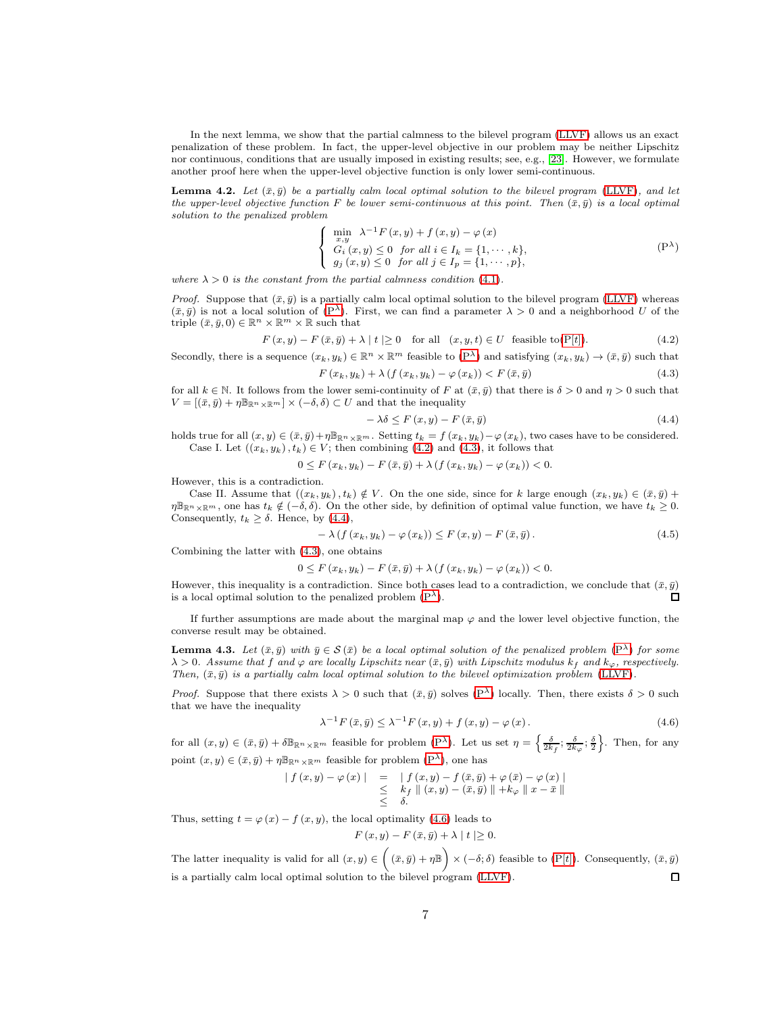In the next lemma, we show that the partial calmness to the bilevel program [\(LLVF\)](#page-3-2) allows us an exact penalization of these problem. In fact, the upper-level objective in our problem may be neither Lipschitz nor continuous, conditions that are usually imposed in existing results; see, e.g., [\[23\]](#page-17-7). However, we formulate another proof here when the upper-level objective function is only lower semi-continuous.

**Lemma 4.2.** Let  $(\bar{x}, \bar{y})$  be a partially calm local optimal solution to the bilevel program [\(LLVF\)](#page-3-2), and let the upper-level objective function F be lower semi-continuous at this point. Then  $(\bar{x}, \bar{y})$  is a local optimal solution to the penalized problem

$$
\begin{cases}\n\min_{x,y} \lambda^{-1} F(x,y) + f(x,y) - \varphi(x) \\
G_i(x,y) \le 0 \text{ for all } i \in I_k = \{1, \dots, k\}, \\
g_j(x,y) \le 0 \text{ for all } j \in I_p = \{1, \dots, p\},\n\end{cases} \tag{P}
$$

where  $\lambda > 0$  is the constant from the partial calmness condition (4.[1\)](#page-5-3).

*Proof.* Suppose that  $(\bar{x}, \bar{y})$  is a partially calm local optimal solution to the bilevel program [\(LLVF\)](#page-3-2) whereas  $(\bar{x}, \bar{y})$  is not a local solution of  $(P^{\lambda})$ . First, we can find a parameter  $\lambda > 0$  and a neighborhood U of the triple  $(\bar{x}, \bar{y}, 0) \in \mathbb{R}^n \times \mathbb{R}^m \times \mathbb{R}$  such that

<span id="page-6-2"></span><span id="page-6-1"></span>
$$
F(x,y) - F(\bar{x}, \bar{y}) + \lambda |t| \ge 0 \quad \text{for all} \quad (x, y, t) \in U \quad \text{feasible to}(\mathbf{P}[t]). \tag{4.2}
$$

Secondly, there is a sequence  $(x_k, y_k) \in \mathbb{R}^n \times \mathbb{R}^m$  feasible to  $(P^{\lambda})$  and satisfying  $(x_k, y_k) \to (\bar{x}, \bar{y})$  such that  $F(x_k, y_k) + \lambda (f(x_k, y_k) - \varphi(x_k)) < F(\bar{x}, \bar{y})$  (4.3)

for all 
$$
k \in \mathbb{N}
$$
. It follows from the lower semi-continuity of F at  $(\bar{x}, \bar{y})$  that there is  $\delta > 0$  and  $\eta > 0$  such that  $V = [(\bar{x}, \bar{y}) + \eta \mathbb{B}_{\mathbb{R}^n \times \mathbb{R}^m}] \times (-\delta, \delta) \subset U$  and that the inequality

<span id="page-6-3"></span><span id="page-6-0"></span>
$$
-\lambda \delta \le F(x, y) - F(\bar{x}, \bar{y})\tag{4.4}
$$

holds true for all  $(x, y) \in (\bar{x}, \bar{y}) + \eta \mathbb{B}_{\mathbb{R}^n \times \mathbb{R}^m}$ . Setting  $t_k = f(x_k, y_k) - \varphi(x_k)$ , two cases have to be considered. Case I. Let  $((x_k, y_k), t_k) \in V$ ; then combining (4.[2\)](#page-6-1) and (4.[3\)](#page-6-2), it follows that

$$
0 \leq F(x_k, y_k) - F(\bar{x}, \bar{y}) + \lambda \left( f(x_k, y_k) - \varphi(x_k) \right) < 0.
$$

However, this is a contradiction.

Case II. Assume that  $((x_k, y_k), t_k) \notin V$ . On the one side, since for k large enough  $(x_k, y_k) \in (\bar{x}, \bar{y})$  +  $\eta \mathbb{B}_{\mathbb{R}^n\times\mathbb{R}^m}$ , one has  $t_k \notin (-\delta, \delta)$ . On the other side, by definition of optimal value function, we have  $t_k \geq 0$ . Consequently,  $t_k \geq \delta$ . Hence, by (4.[4\)](#page-6-3),

$$
-\lambda \left(f\left(x_k, y_k\right) - \varphi\left(x_k\right)\right) \le F\left(x, y\right) - F\left(\bar{x}, \bar{y}\right). \tag{4.5}
$$

Combining the latter with (4.[3\)](#page-6-2), one obtains

$$
0 \leq F(x_k, y_k) - F(\bar{x}, \bar{y}) + \lambda \left( f(x_k, y_k) - \varphi(x_k) \right) < 0.
$$

However, this inequality is a contradiction. Since both cases lead to a contradiction, we conclude that  $(\bar{x}, \bar{y})$ is a local optimal solution to the penalized problem  $(P^{\lambda})$ .  $\Box$ 

If further assumptions are made about the marginal map  $\varphi$  and the lower level objective function, the converse result may be obtained.

**Lemma 4.3.** Let  $(\bar{x}, \bar{y})$  with  $\bar{y} \in \mathcal{S}(\bar{x})$  be a local optimal solution of the penalized problem  $(P^{\lambda})$  $(P^{\lambda})$  for some  $\lambda > 0$ . Assume that f and  $\varphi$  are locally Lipschitz near  $(\bar{x}, \bar{y})$  with Lipschitz modulus  $k_f$  and  $k_{\varphi}$ , respectively. Then,  $(\bar{x}, \bar{y})$  is a partially calm local optimal solution to the bilevel optimization problem [\(LLVF\)](#page-3-2).

*Proof.* Suppose that there exists  $\lambda > 0$  such that  $(\bar{x}, \bar{y})$  solves  $(P^{\lambda})$  locally. Then, there exists  $\delta > 0$  such that we have the inequality

<span id="page-6-4"></span>
$$
\lambda^{-1} F\left(\bar{x}, \bar{y}\right) \leq \lambda^{-1} F\left(x, y\right) + f\left(x, y\right) - \varphi\left(x\right). \tag{4.6}
$$

for all  $(x, y) \in (\bar{x}, \bar{y}) + \delta \mathbb{B}_{\mathbb{R}^n \times \mathbb{R}^m}$  feasible for problem  $(P^{\lambda})$ . Let us set  $\eta = \left\{ \frac{\delta}{2k_f}; \frac{\delta}{2k_{\varphi}}; \frac{\delta}{2} \right\}$ . Then, for any point  $(x, y) \in (\bar{x}, \bar{y}) + \eta \mathbb{B}_{\mathbb{R}^n \times \mathbb{R}^m}$  feasible for problem  $(P^{\lambda})$ , one has

$$
\begin{array}{rcl}\n\mid f(x,y) - \varphi(x)\mid & = & \mid f(x,y) - f(\bar{x},\bar{y}) + \varphi(\bar{x}) - \varphi(x)\mid \\
& \leq & k_f \parallel (x,y) - (\bar{x},\bar{y}) \parallel + k_{\varphi} \parallel x - \bar{x} \parallel \\
& \leq & \delta.\n\end{array}
$$

Thus, setting  $t = \varphi(x) - f(x, y)$ , the local optimality [\(4](#page-6-4).6) leads to

$$
F(x,y) - F(\bar{x}, \bar{y}) + \lambda |t| \ge 0.
$$

The latter inequality is valid for all  $(x, y) \in ( \bar{x}, \bar{y}) + \eta \mathbb{B} ) \times (-\delta; \delta)$  feasible to  $(P[t])$ . Consequently,  $(\bar{x}, \bar{y})$ is a partially calm local optimal solution to the bilevel program [\(LLVF\)](#page-3-2).  $\Box$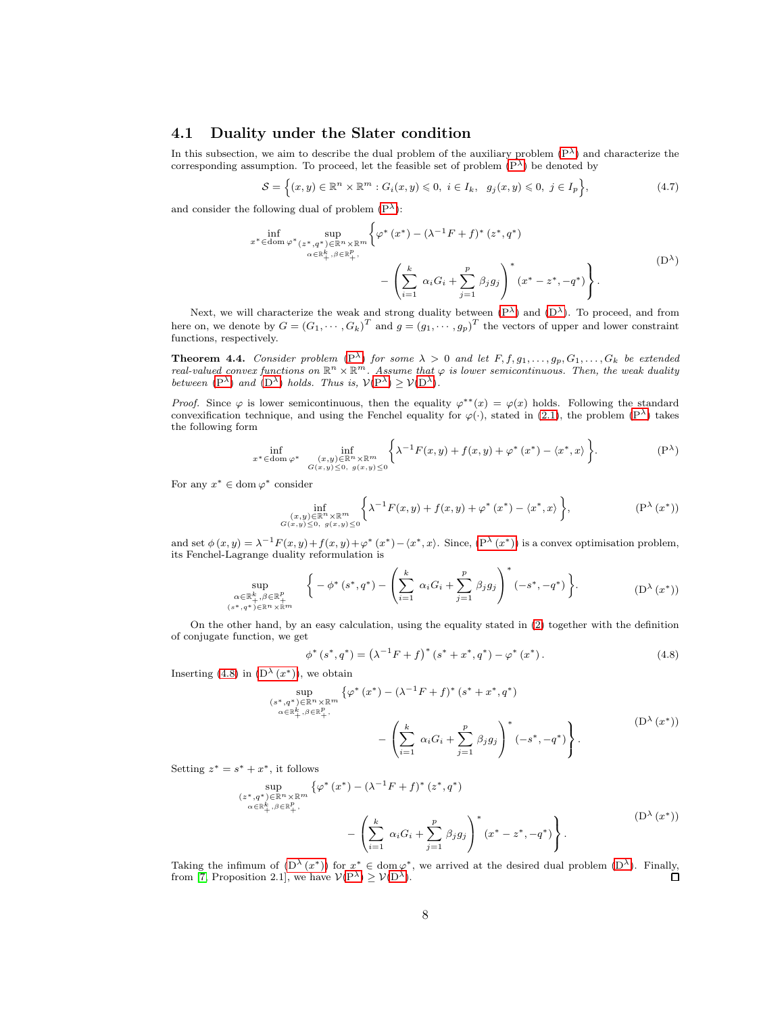## 4.1 Duality under the Slater condition

In this subsection, we aim to describe the dual problem of the auxiliary problem  $(P^{\lambda})$  and characterize the corresponding assumption. To proceed, let the feasible set of problem  $(P^{\lambda})$  be denoted by

<span id="page-7-4"></span><span id="page-7-0"></span>
$$
\mathcal{S} = \left\{ (x, y) \in \mathbb{R}^n \times \mathbb{R}^m : G_i(x, y) \leq 0, \ i \in I_k, \ g_j(x, y) \leq 0, \ j \in I_p \right\},\tag{4.7}
$$

and consider the following dual of problem  $(P^{\lambda})$ :

$$
\inf_{x^* \in \text{dom } \varphi^*} \sup_{\substack{(z^*, q^*) \in \mathbb{R}^n \times \mathbb{R}^m \\ \alpha \in \mathbb{R}_+^k, \beta \in \mathbb{R}_+^p,}} \left\{ \varphi^*(x^*) - (\lambda^{-1}F + f)^*(z^*, q^*) - \left(\sum_{i=1}^k \alpha_i G_i + \sum_{j=1}^p \beta_j g_j\right)^*(x^* - z^*, -q^*) \right\}.
$$
\n(D<sup>\lambda</sup>)

Next, we will characterize the weak and strong duality between  $(P^{\lambda})$  and  $(D^{\lambda})$ . To proceed, and from here on, we denote by  $G = (G_1, \dots, G_k)^T$  and  $g = (g_1, \dots, g_p)^T$  the vectors of upper and lower constraint functions, respectively.

**Theorem 4.4.** Consider problem  $(P^{\lambda})$  $(P^{\lambda})$  for some  $\lambda > 0$  and let  $F, f, g_1, \ldots, g_p, G_1, \ldots, G_k$  be extended real-valued convex functions on  $\mathbb{R}^n \times \mathbb{R}^m$ . Assume that  $\varphi$  is lower semicontinuous. Then, the weak duality between  $(P^{\lambda})$  $(P^{\lambda})$  and  $(D^{\lambda})$  $(D^{\lambda})$  holds. Thus is,  $V(P^{\lambda}) \geq V(D^{\lambda})$ .

*Proof.* Since  $\varphi$  is lower semicontinuous, then the equality  $\varphi^{**}(x) = \varphi(x)$  holds. Following the standard convexification technique, and using the Fenchel equality for  $\varphi(\cdot)$ , stated in [\(2](#page-2-0).1), the problem [\(P](#page-6-0)<sup> $\lambda$ </sup>) takes the following form

$$
\inf_{x^* \in \text{dom } \varphi^*} \inf_{\substack{(x,y) \in \mathbb{R}^n \times \mathbb{R}^m \\ G(x,y) \le 0, \ g(x,y) \le 0}} \left\{ \lambda^{-1} F(x,y) + f(x,y) + \varphi^* (x^*) - \langle x^*, x \rangle \right\}.
$$
 (P<sup>^</sup>)

For any  $x^* \in \text{dom } \varphi^*$  consider

<span id="page-7-1"></span>
$$
\inf_{\substack{(x,y)\in\mathbb{R}^n\times\mathbb{R}^m\\G(x,y)\leq 0,\ g(x,y)\leq 0}}\bigg\{\lambda^{-1}F(x,y)+f(x,y)+\varphi^*\left(x^*\right)-\langle x^*,x\rangle\bigg\},\tag{P$\lambda$}(x^*)
$$

and set  $\phi(x,y) = \lambda^{-1} F(x,y) + f(x,y) + \varphi^*(x^*) - \langle x^*,x \rangle$ . Since,  $(P^{\lambda}(x^*))$  is a convex optimisation problem, its Fenchel-Lagrange duality reformulation is

$$
\sup_{\substack{\alpha \in \mathbb{R}_+^k, \beta \in \mathbb{R}_+^p\\(s^*, q^*) \in \mathbb{R}^n \times \mathbb{R}^m}} \left\{ -\phi^*(s^*, q^*) - \left( \sum_{i=1}^k \alpha_i G_i + \sum_{j=1}^p \beta_j g_j \right)^* (-s^*, -q^*) \right\}.
$$
 (D<sup>\lambda</sup> (x<sup>\*</sup>))

On the other hand, by an easy calculation, using the equality stated in [\(2\)](#page-2-1) together with the definition of conjugate function, we get

<span id="page-7-3"></span><span id="page-7-2"></span>
$$
\phi^*(s^*, q^*) = (\lambda^{-1}F + f)^*(s^* + x^*, q^*) - \varphi^*(x^*).
$$
\n(4.8)

Inserting [\(4](#page-7-2).8) in  $(D^{\lambda}(x^*))$ , we obtain

$$
\sup_{\substack{(s^*,q^*)\in\mathbb{R}^n\times\mathbb{R}^m,\\ \alpha\in\mathbb{R}_+^k,\beta\in\mathbb{R}_+^p,\\qquad \qquad \bigg| \bigg| \leq \pi \text{ with } \alpha\in\mathbb{R}_+^k,\\qquad \qquad \bigg| \bigg| \left( \sum_{i=1}^k \alpha_i G_i + \sum_{j=1}^p \beta_j g_j \right)^* \left( -s^*, -q^* \right) \right\}.
$$
\n(D<sup>^</sup>(x^\*))\n
$$
\left( \sum_{i=1}^k \alpha_i G_i + \sum_{j=1}^p \beta_j g_j \right)^* \left( -s^*, -q^* \right) \left( \sum_{i=1}^k \alpha_i G_i \right).
$$

Setting  $z^* = s^* + x^*$ , it follows

$$
\sup_{\substack{(z^*,q^*)\in\mathbb{R}^n\times\mathbb{R}^m\\ \alpha\in\mathbb{R}_+^k,\beta\in\mathbb{R}_+^p,\\qquad \ \ -}\left(\sum_{i=1}^k\alpha_iG_i+\sum_{j=1}^p\beta_jg_j\right)^*(x^*-z^*,-q^*)\Bigg\}.
$$
\n(D<sup>\lambda</sup>(x<sup>\*</sup>))

Taking the infimum of  $(D^{\lambda}(x^*))$  for  $x^* \in \text{dom } \varphi^*$ , we arrived at the desired dual problem  $(D^{\lambda})$ . Finally, from [\[7,](#page-17-3) Proposition 2.1], we have  $V(P^{\lambda}) \geq V(D^{\lambda})$  $V(P^{\lambda}) \geq V(D^{\lambda})$  $V(P^{\lambda}) \geq V(D^{\lambda})$  $V(P^{\lambda}) \geq V(D^{\lambda})$  $V(P^{\lambda}) \geq V(D^{\lambda})$ . □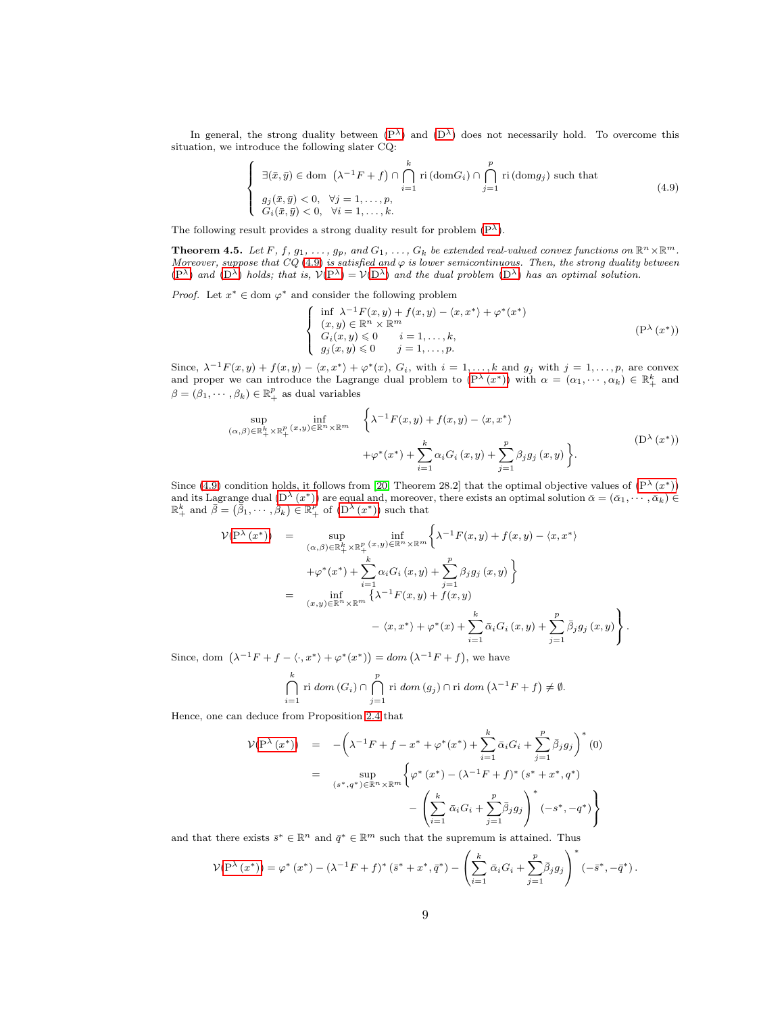In general, the strong duality between  $(P^{\lambda})$  and  $(D^{\lambda})$  does not necessarily hold. To overcome this situation, we introduce the following slater CQ:

<span id="page-8-0"></span>
$$
\begin{cases}\n\exists (\bar{x}, \bar{y}) \in \text{dom } (\lambda^{-1}F + f) \cap \bigcap_{i=1}^{k} \text{ri}(\text{dom}G_{i}) \cap \bigcap_{j=1}^{p} \text{ri}(\text{dom}g_{j}) \text{ such that} \\
g_{j}(\bar{x}, \bar{y}) < 0, \quad \forall j = 1, \dots, p, \\
G_{i}(\bar{x}, \bar{y}) < 0, \quad \forall i = 1, \dots, k.\n\end{cases}
$$
\n
$$
(4.9)
$$

The following result provides a strong duality result for problem  $(P^{\lambda})$ .

**Theorem 4.5.** Let F, f,  $g_1, \ldots, g_p$ , and  $G_1, \ldots, G_k$  be extended real-valued convex functions on  $\mathbb{R}^n \times \mathbb{R}^m$ . Moreover, suppose that  $CQ(4.9)$  $CQ(4.9)$  $CQ(4.9)$  is satisfied and  $\varphi$  is lower semicontinuous. Then, the strong duality between  $(P^{\lambda})$  $(P^{\lambda})$  and  $(D^{\lambda})$  $(D^{\lambda})$  holds; that is,  $V(P^{\lambda}) = V(D^{\lambda})$  and the dual problem  $(D^{\lambda})$  has an optimal solution.

*Proof.* Let  $x^* \in \text{dom } \varphi^*$  and consider the following problem

<span id="page-8-2"></span><span id="page-8-1"></span>
$$
\begin{cases}\n\inf \lambda^{-1} F(x, y) + f(x, y) - \langle x, x^* \rangle + \varphi^*(x^*) \\
(x, y) \in \mathbb{R}^n \times \mathbb{R}^m \\
G_i(x, y) \le 0 & i = 1, \dots, k, \\
g_j(x, y) \le 0 & j = 1, \dots, p.\n\end{cases} \tag{P}(\lambda(x^*))
$$

Since,  $\lambda^{-1}F(x,y) + f(x,y) - \langle x, x^* \rangle + \varphi^*(x)$ ,  $G_i$ , with  $i = 1, ..., k$  and  $g_j$  with  $j = 1, ..., p$ , are convex and proper we can introduce the Lagrange dual problem to  $(P^{\lambda}(x^*))$  with  $\alpha = (\alpha_1, \dots, \alpha_k) \in \mathbb{R}^k_+$  and  $\beta = (\beta_1, \dots, \beta_k) \in \mathbb{R}^p_+$  as dual variables

$$
\sup_{(\alpha,\beta)\in\mathbb{R}_{+}^{k}\times\mathbb{R}_{+}^{p}(x,y)\in\mathbb{R}^{n}\times\mathbb{R}^{m}}\left\{\lambda^{-1}F(x,y)+f(x,y)-\langle x,x^{*}\rangle\right.+\varphi^{*}(x^{*})+\sum_{i=1}^{k}\alpha_{i}G_{i}(x,y)+\sum_{j=1}^{p}\beta_{j}g_{j}(x,y)\left.\right\}.
$$
\n(D<sup>\lambda</sup>(x<sup>\*</sup>))

Since [\(4.9\)](#page-8-0) condition holds, it follows from [\[20,](#page-17-12) Theorem 28.2] that the optimal objective values of  $(P^{\lambda}(x^*))$ and its Lagrange dual  $(D^{\lambda}(x^*))$  are equal and, moreover, there exists an optimal solution  $\bar{\alpha} = (\bar{\alpha}_1, \dots, \bar{\alpha}_k) \in \mathbb{R}_+^k$  and  $\bar{\beta} = (\bar{\beta}_1, \dots, \bar{\beta}_k) \in \mathbb{R}_+^p$  of  $(D^{\lambda}(x^*))$  such that

$$
\mathcal{V}(\mathbf{P}^{\lambda}(x^{*})) = \sup_{(\alpha,\beta)\in\mathbb{R}_{+}^{k}\times\mathbb{R}_{+}^{p}(x,y)\in\mathbb{R}^{n}\times\mathbb{R}^{m}}\left\{\lambda^{-1}F(x,y)+f(x,y)-\langle x,x^{*}\rangle\right.\\ \left. +\varphi^{*}(x^{*})+\sum_{i=1}^{k}\alpha_{i}G_{i}(x,y)+\sum_{j=1}^{p}\beta_{j}g_{j}(x,y)\right\}\\ = \inf_{(x,y)\in\mathbb{R}^{n}\times\mathbb{R}^{m}}\left\{\lambda^{-1}F(x,y)+f(x,y)\right.\\ \left. -\langle x,x^{*}\rangle+\varphi^{*}(x)+\sum_{i=1}^{k}\bar{\alpha}_{i}G_{i}(x,y)+\sum_{j=1}^{p}\bar{\beta}_{j}g_{j}(x,y)\right\}.
$$

Since, dom  $(\lambda^{-1}F + f - \langle \cdot, x^* \rangle + \varphi^*(x^*)) = dom (\lambda^{-1}F + f)$ , we have

$$
\bigcap_{i=1}^k \text{ri}\ dom\left(G_i\right) \cap \bigcap_{j=1}^p \text{ri}\ dom\left(g_j\right) \cap \text{ri}\ dom\left(\lambda^{-1}F + f\right) \neq \emptyset.
$$

Hence, one can deduce from Proposition [2.4](#page-2-2) that

$$
\mathcal{V}(\mathbf{P}^{\lambda}(x^{*})) = -\left(\lambda^{-1}F + f - x^{*} + \varphi^{*}(x^{*}) + \sum_{i=1}^{k} \bar{\alpha}_{i}G_{i} + \sum_{j=1}^{p} \bar{\beta}_{j}g_{j}\right)^{*}(0)
$$
  

$$
= \sup_{(s^{*}, q^{*}) \in \mathbb{R}^{n} \times \mathbb{R}^{m}} \left\{\varphi^{*}(x^{*}) - (\lambda^{-1}F + f)^{*}(s^{*} + x^{*}, q^{*}) - \left(\sum_{i=1}^{k} \bar{\alpha}_{i}G_{i} + \sum_{j=1}^{p} \bar{\beta}_{j}g_{j}\right)^{*}(-s^{*}, -q^{*})\right\}
$$

and that there exists  $\bar{s}^* \in \mathbb{R}^n$  and  $\bar{q}^* \in \mathbb{R}^m$  such that the supremum is attained. Thus

$$
\mathcal{V}(\mathbf{P}^{\lambda}(x^*)) = \varphi^*(x^*) - (\lambda^{-1}F + f)^*(\bar{s}^* + x^*, \bar{q}^*) - \left(\sum_{i=1}^k \bar{\alpha}_i G_i + \sum_{j=1}^p \bar{\beta}_j g_j\right)^* (-\bar{s}^*, -\bar{q}^*).
$$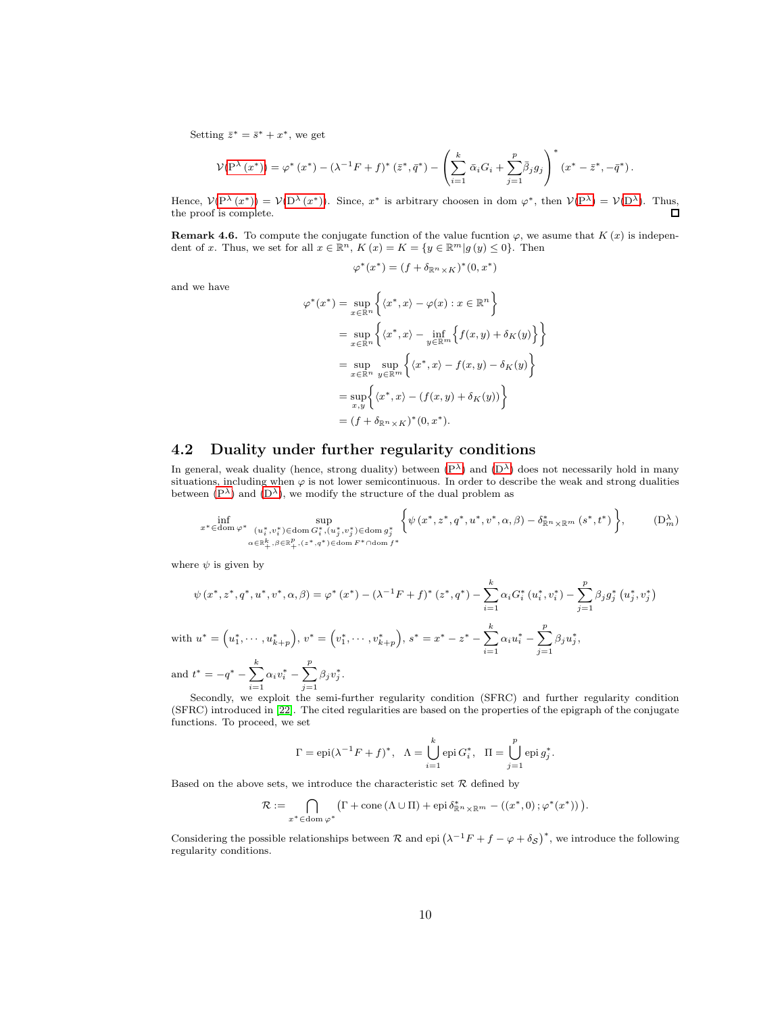Setting  $\bar{z}^* = \bar{s}^* + x^*$ , we get

$$
\mathcal{V}(\mathbf{P}^{\lambda}(x^*)) = \varphi^*(x^*) - (\lambda^{-1}F + f)^*(\bar{z}^*, \bar{q}^*) - \left(\sum_{i=1}^k \bar{\alpha}_i G_i + \sum_{j=1}^p \bar{\beta}_j g_j\right)^*(x^* - \bar{z}^*, -\bar{q}^*).
$$

Hence,  $V(P^{\lambda}(x^*)) = V(D^{\lambda}(x^*))$  $V(P^{\lambda}(x^*)) = V(D^{\lambda}(x^*))$  $V(P^{\lambda}(x^*)) = V(D^{\lambda}(x^*))$  $V(P^{\lambda}(x^*)) = V(D^{\lambda}(x^*))$  $V(P^{\lambda}(x^*)) = V(D^{\lambda}(x^*))$ . Since,  $x^*$  is arbitrary choosen in dom  $\varphi^*$ , then  $V(P^{\lambda}) = V(D^{\lambda})$ . Thus, the proof is complete.  $\Box$ 

**Remark 4.6.** To compute the conjugate function of the value fucntion  $\varphi$ , we asume that  $K(x)$  is independent of x. Thus, we set for all  $x \in \mathbb{R}^n$ ,  $K(x) = K = \{y \in \mathbb{R}^m | g(y) \leq 0\}$ . Then

<span id="page-9-0"></span>
$$
\varphi^*(x^*) = (f + \delta_{\mathbb{R}^n \times K})^*(0, x^*)
$$

and we have

$$
\varphi^*(x^*) = \sup_{x \in \mathbb{R}^n} \left\{ \langle x^*, x \rangle - \varphi(x) : x \in \mathbb{R}^n \right\}
$$
  
= 
$$
\sup_{x \in \mathbb{R}^n} \left\{ \langle x^*, x \rangle - \inf_{y \in \mathbb{R}^m} \left\{ f(x, y) + \delta_K(y) \right\} \right\}
$$
  
= 
$$
\sup_{x \in \mathbb{R}^n} \sup_{y \in \mathbb{R}^m} \left\{ \langle x^*, x \rangle - f(x, y) - \delta_K(y) \right\}
$$
  
= 
$$
\sup_{x, y} \left\{ \langle x^*, x \rangle - (f(x, y) + \delta_K(y)) \right\}
$$
  
= 
$$
(f + \delta_{\mathbb{R}^n \times K})^*(0, x^*).
$$

## 4.2 Duality under further regularity conditions

In general, weak duality (hence, strong duality) between  $(P^{\lambda})$  and  $(D^{\lambda})$  does not necessarily hold in many situations, including when  $\varphi$  is not lower semicontinuous. In order to describe the weak and strong dualities between  $(P^{\lambda})$  and  $(D^{\lambda})$ , we modify the structure of the dual problem as

inf x∗∈dom ϕ∗ sup (u<sup>∗</sup> i ,v<sup>∗</sup> i )∈dom G<sup>∗</sup> i ,(u<sup>∗</sup> j ,v<sup>∗</sup> j )∈dom g ∗ j α∈Rk + ,β∈R p + ,(z∗,q∗)∈dom F ∗∩dom f∗ ψ (x ∗ , z<sup>∗</sup> , q<sup>∗</sup> , u<sup>∗</sup> , v<sup>∗</sup> , α, β) − δ ∗ <sup>R</sup>n×R<sup>m</sup> (s ∗ , t∗ ) , (Dλm)

where  $\psi$  is given by

$$
\psi(x^*, z^*, q^*, u^*, v^*, \alpha, \beta) = \varphi^*(x^*) - (\lambda^{-1}F + f)^*(z^*, q^*) - \sum_{i=1}^k \alpha_i G_i^*(u_i^*, v_i^*) - \sum_{j=1}^p \beta_j g_j^*(u_j^*, v_j^*)
$$
  
with  $u^* = (u_1^*, \dots, u_{k+p}^*), v^* = (v_1^*, \dots, v_{k+p}^*), s^* = x^* - z^* - \sum_{i=1}^k \alpha_i u_i^* - \sum_{j=1}^p \beta_j u_j^*,$ 

and  $t^* = -q^* - \sum_{k=1}^{k}$  $i=1$  $\alpha_i v_i^* - \sum^p$  $j=1$  $\beta_j v_j^*$ .

Secondly, we exploit the semi-further regularity condition (SFRC) and further regularity condition (SFRC) introduced in [\[22\]](#page-17-13). The cited regularities are based on the properties of the epigraph of the conjugate functions. To proceed, we set

$$
\Gamma = \mathrm{epi}(\lambda^{-1}F + f)^*, \quad \Lambda = \bigcup_{i=1}^k \mathrm{epi}\, G_i^*, \quad \Pi = \bigcup_{j=1}^p \mathrm{epi}\, g_j^*.
$$

Based on the above sets, we introduce the characteristic set  $R$  defined by

$$
\mathcal{R} := \bigcap_{x^* \in \text{dom } \varphi^*} \left( \Gamma + \text{cone} \left( \Lambda \cup \Pi \right) + \text{epi } \delta_{\mathbb{R}^n \times \mathbb{R}^m}^* - \left( \left( x^*, 0 \right) ; \varphi^*(x^*) \right) \right).
$$

Considering the possible relationships between  $\mathcal R$  and epi  $(\lambda^{-1}F + f - \varphi + \delta_{\mathcal S})^*$ , we introduce the following regularity conditions.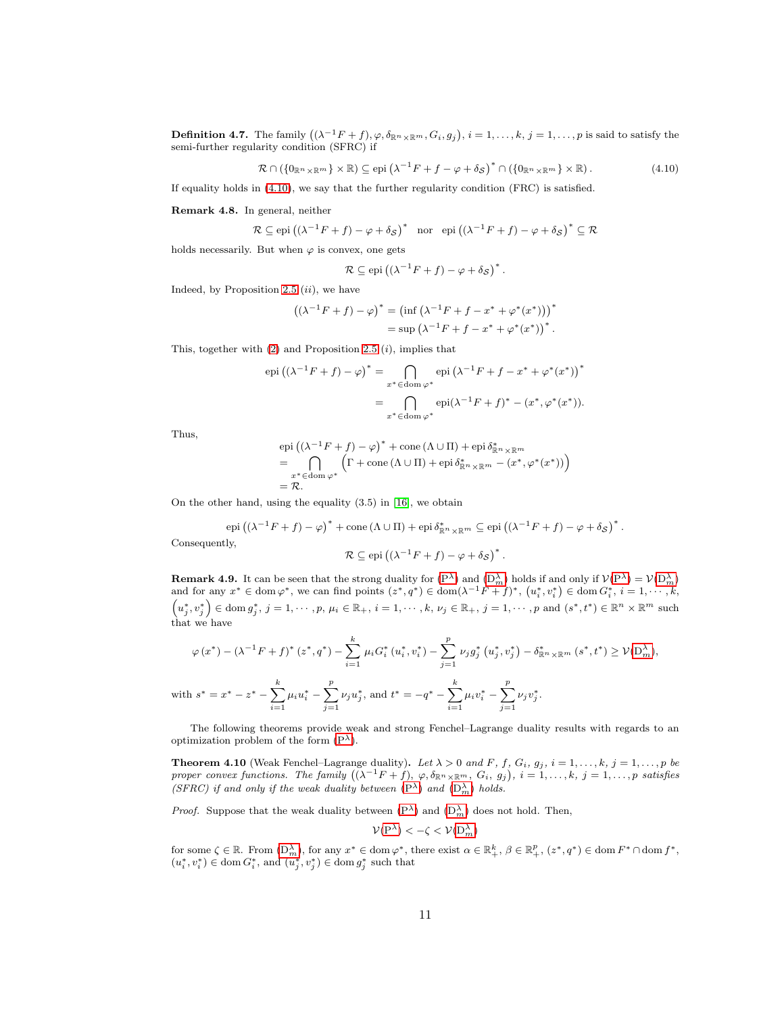**Definition 4.7.** The family  $((\lambda^{-1}F + f), \varphi, \delta_{\mathbb{R}^n \times \mathbb{R}^m}, G_i, g_j), i = 1, \ldots, k, j = 1, \ldots, p$  is said to satisfy the semi-further regularity condition (SFRC) if

<span id="page-10-0"></span>
$$
\mathcal{R} \cap (\{0_{\mathbb{R}^n \times \mathbb{R}^m}\} \times \mathbb{R}) \subseteq \text{epi}\left(\lambda^{-1}F + f - \varphi + \delta_{\mathcal{S}}\right)^* \cap (\{0_{\mathbb{R}^n \times \mathbb{R}^m}\} \times \mathbb{R}). \tag{4.10}
$$

If equality holds in (4.[10\)](#page-10-0), we say that the further regularity condition (FRC) is satisfied.

Remark 4.8. In general, neither

$$
\mathcal{R} \subseteq \text{epi}\left(\left(\lambda^{-1}F + f\right) - \varphi + \delta_{\mathcal{S}}\right)^* \quad \text{nor} \quad \text{epi}\left(\left(\lambda^{-1}F + f\right) - \varphi + \delta_{\mathcal{S}}\right)^* \subseteq \mathcal{R}
$$

holds necessarily. But when  $\varphi$  is convex, one gets

$$
\mathcal{R} \subseteq \mathrm{epi}\left( (\lambda^{-1}F + f) - \varphi + \delta_{\mathcal{S}} \right)^*.
$$

Indeed, by Proposition [2](#page-2-1).5  $(ii)$ , we have

$$
((\lambda^{-1}F + f) - \varphi)^* = (\inf (\lambda^{-1}F + f - x^* + \varphi^*(x^*)))^*
$$
  
= sup  $(\lambda^{-1}F + f - x^* + \varphi^*(x^*))^*$ .

This, together with  $(2)$  and Proposition [2](#page-2-1).5  $(i)$ , implies that

$$
\operatorname{epi}\left((\lambda^{-1}F+f) - \varphi\right)^* = \bigcap_{x^* \in \operatorname{dom}\varphi^*} \operatorname{epi}\left(\lambda^{-1}F + f - x^* + \varphi^*(x^*)\right)^*
$$

$$
= \bigcap_{x^* \in \operatorname{dom}\varphi^*} \operatorname{epi}(\lambda^{-1}F + f)^* - (x^*, \varphi^*(x^*)).
$$

Thus,

 $\bar{w}$ 

epi 
$$
((\lambda^{-1}F + f) - \varphi)^* + \text{cone } (\Lambda \cup \Pi) + \text{epi }\delta_{\mathbb{R}^n \times \mathbb{R}^m}^*
$$
  
\n
$$
= \bigcap_{x^* \in \text{dom } \varphi^*} \left( \Gamma + \text{cone } (\Lambda \cup \Pi) + \text{epi }\delta_{\mathbb{R}^n \times \mathbb{R}^m}^* - (x^*, \varphi^*(x^*)) \right)
$$
\n
$$
= \mathcal{R}.
$$

On the other hand, using the equality (3.5) in [\[16\]](#page-17-14), we obtain

epi 
$$
((\lambda^{-1}F + f) - \varphi)^* + \text{cone } (\Lambda \cup \Pi) + \text{epi }\delta_{\mathbb{R}^n \times \mathbb{R}^m}^* \subseteq \text{epi } ((\lambda^{-1}F + f) - \varphi + \delta_{\mathcal{S}})^*.
$$
  
Consequently,

$$
\mathcal{R} \subseteq \mathrm{epi}\left( (\lambda^{-1}F + f) - \varphi + \delta_{\mathcal{S}} \right)^*.
$$

<span id="page-10-2"></span>**Remark 4.9.** It can be seen that the strong duality for  $(P^{\lambda})$  $(P^{\lambda})$  and  $(D_m^{\lambda})$  holds if and only if  $V(P^{\lambda}) = V(D_m^{\lambda})$ and for any  $x^* \in \text{dom}\,\varphi^*$ , we can find points  $(z^*, q^*) \in \text{dom}(\lambda^{-1}\dot{F} + f)^*$ ,  $(u_i^*, v_i^*) \in \text{dom}\, G_i^*, i = 1, \dots, k$ ,  $(u_j^*, v_j^*) \in \text{dom } g_j^*, j = 1, \cdots, p, \mu_i \in \mathbb{R}_+, i = 1, \cdots, k, \nu_j \in \mathbb{R}_+, j = 1, \cdots, p \text{ and } (s^*, t^*) \in \mathbb{R}^n \times \mathbb{R}^m \text{ such that } (s^*, t^*) \in \mathbb{R}^n \times \mathbb{R}^m \text{ such that } (s^*, t^*) \in \mathbb{R}^n \times \mathbb{R}^m \text{ such that } (s^*, t^*) \in \mathbb{R}^n \times \mathbb{R}^m \text{ such that } (s^*, t^*) \$ that we have

$$
\varphi(x^*) - (\lambda^{-1}F + f)^* (z^*, q^*) - \sum_{i=1}^k \mu_i G_i^* (u_i^*, v_i^*) - \sum_{j=1}^p \nu_j g_j^* (u_j^*, v_j^*) - \delta_{\mathbb{R}^n \times \mathbb{R}^m}^* (s^*, t^*) \ge \mathcal{V}(\mathcal{D}_m^{\lambda}),
$$
  
with  $s^* = x^* - z^* - \sum_{i=1}^k \mu_i u_i^* - \sum_{j=1}^p \nu_j u_j^*$ , and  $t^* = -q^* - \sum_{i=1}^k \mu_i v_i^* - \sum_{j=1}^p \nu_j v_j^*.$ 

The following theorems provide weak and strong Fenchel–Lagrange duality results with regards to an optimization problem of the form  $(P^{\lambda})$ .

<span id="page-10-1"></span>**Theorem 4.10** (Weak Fenchel–Lagrange duality). Let  $\lambda > 0$  and F, f,  $G_i$ ,  $g_j$ ,  $i = 1, \ldots, k$ ,  $j = 1, \ldots, p$  be proper convex functions. The family  $((\lambda^{-1}F + f), \varphi, \delta_{\mathbb{R}^n \times \mathbb{R}^m}, G_i, g_j), i = 1, \ldots, k, j = 1, \ldots, p$  satisfies (SFRC) if and only if the weak duality between  $(P^{\lambda})$  $(P^{\lambda})$  and  $(D_m^{\lambda})$  holds.

*Proof.* Suppose that the weak duality between  $(P^{\lambda})$  and  $(D_m^{\lambda})$  does not hold. Then,

$$
\mathcal{V}(\mathrm{P}^{\lambda}) < -\zeta < \mathcal{V}(\mathrm{D}_{m}^{\lambda})
$$

for some  $\zeta \in \mathbb{R}$ . From  $(D_m^{\lambda})$ , for any  $x^* \in \text{dom } \varphi^*$ , there exist  $\alpha \in \mathbb{R}^k_+$ ,  $\beta \in \mathbb{R}^p_+$ ,  $(z^*, q^*) \in \text{dom } F^* \cap \text{dom } f^*$ ,  $(u_i^*, v_i^*) \in \text{dom}\, G_i^*, \text{ and } (u_j^*, v_j^*) \in \text{dom}\, g_j^* \text{ such that }$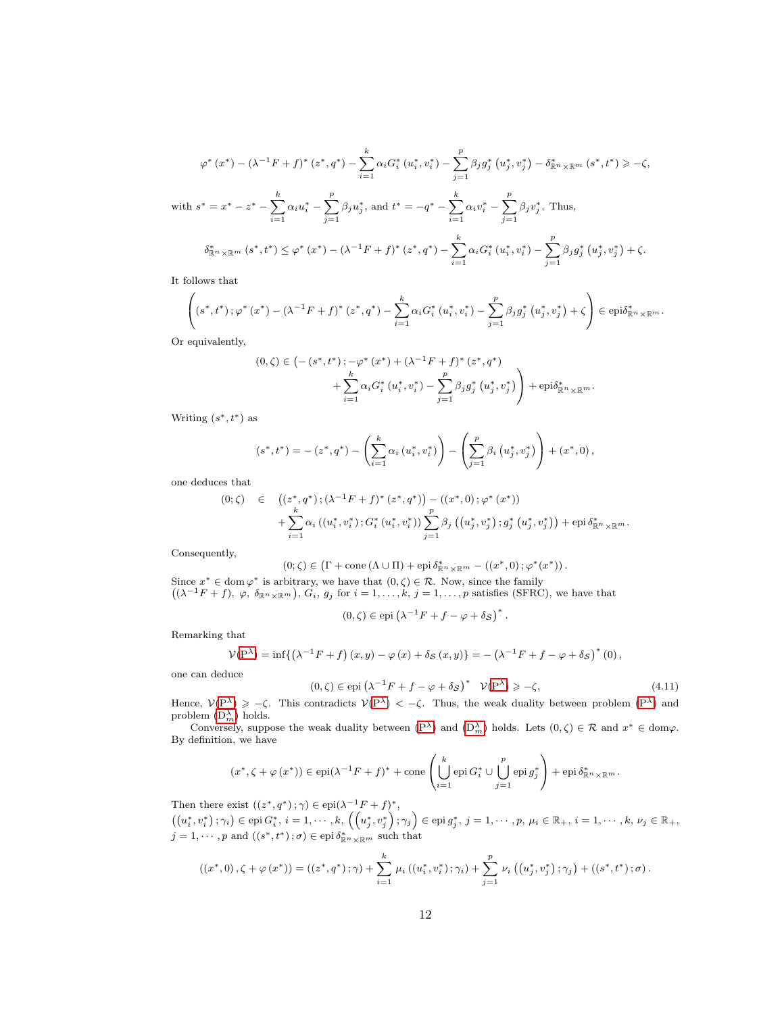$$
\varphi^* (x^*) - (\lambda^{-1} F + f)^* (z^*, q^*) - \sum_{i=1}^k \alpha_i G_i^* (u_i^*, v_i^*) - \sum_{j=1}^p \beta_j g_j^* (u_j^*, v_j^*) - \delta_{\mathbb{R}^n \times \mathbb{R}^m}^* (s^*, t^*) \ge -\zeta,
$$
  
\nwith  $s^* = x^* - z^* - \sum_{i=1}^k \alpha_i u_i^* - \sum_{j=1}^p \beta_j u_j^*$ , and  $t^* = -q^* - \sum_{i=1}^k \alpha_i v_i^* - \sum_{j=1}^p \beta_j v_j^*$ . Thus,  
\n $\delta_{\mathbb{R}^n \times \mathbb{R}^m}^* (s^*, t^*) \le \varphi^* (x^*) - (\lambda^{-1} F + f)^* (z^*, q^*) - \sum_{i=1}^k \alpha_i G_i^* (u_i^*, v_i^*) - \sum_{j=1}^p \beta_j g_j^* (u_j^*, v_j^*) + \zeta.$ 

It follows that

$$
\left( (s^*,t^*); \varphi^*(x^*) - (\lambda^{-1}F + f)^*(z^*,q^*) - \sum_{i=1}^k \alpha_i G_i^*(u_i^*,v_i^*) - \sum_{j=1}^p \beta_j g_j^*(u_j^*,v_j^*) + \zeta \right) \in \text{epi}\delta_{\mathbb{R}^n \times \mathbb{R}^m}^*.
$$

Or equivalently,

$$
(0,\zeta) \in \left( -\left(s^*,t^*\right); -\varphi^*\left(x^*\right) + \left(\lambda^{-1}F + f\right)^*\left(z^*,q^*\right) \right) + \sum_{i=1}^k \alpha_i G_i^*\left(u_i^*,v_i^*\right) - \sum_{j=1}^p \beta_j g_j^*\left(u_j^*,v_j^*\right) \right) + \text{epi}\delta_{\mathbb{R}^n\times\mathbb{R}^m}^*.
$$

Writing  $(s^*, t^*)$  as

$$
(s^*,t^*) = -(z^*,q^*) - \left(\sum_{i=1}^k \alpha_i (u_i^*,v_i^*)\right) - \left(\sum_{j=1}^p \beta_i (u_j^*,v_j^*)\right) + (x^*,0),
$$

one deduces that

$$
(0; \zeta) \in ((z^*, q^*); (\lambda^{-1}F + f)^* (z^*, q^*)) - ((x^*, 0); \varphi^* (x^*)) + \sum_{i=1}^k \alpha_i ((u_i^*, v_i^*); G_i^* (u_i^*, v_i^*)) \sum_{j=1}^p \beta_j ((u_j^*, v_j^*); g_j^* (u_j^*, v_j^*)) + \text{epi } \delta_{\mathbb{R}^n \times \mathbb{R}^m}^*.
$$

Consequently,

$$
(0; \zeta) \in \left(\Gamma + \text{cone} \left(\Lambda \cup \Pi\right) + \text{epi} \, \delta^*_{\mathbb{R}^n \times \mathbb{R}^m} - \left(\left(x^*, 0\right); \varphi^*(x^*)\right).
$$

Since  $x^* \in \text{dom } \varphi^*$  is arbitrary, we have that  $(0, \zeta) \in \mathcal{R}$ . Now, since the family  $((\lambda^{-1}F+f), \varphi, \delta_{\mathbb{R}^n\times\mathbb{R}^m}), G_i, g_j \text{ for } i=1,\ldots,k, j=1,\ldots,p \text{ satisfies (SFRC)},$  we have that

$$
(0,\zeta) \in \text{epi}\left(\lambda^{-1}F + f - \varphi + \delta_{\mathcal{S}}\right)^{*}
$$

Remarking that

$$
\mathcal{V}(\mathbf{P}^{\lambda}) = \inf \{ (\lambda^{-1} F + f) (x, y) - \varphi (x) + \delta_{\mathcal{S}} (x, y) \} = - (\lambda^{-1} F + f - \varphi + \delta_{\mathcal{S}})^{*} (0),
$$

one can deduce

<span id="page-11-0"></span>
$$
(0,\zeta) \in \text{epi}\left(\lambda^{-1}F + f - \varphi + \delta_{\mathcal{S}}\right)^* \quad \mathcal{V}(\mathbf{P}^{\lambda}) \ge -\zeta,\tag{4.11}
$$

.

Hence,  $V(P^{\lambda}) \geq -\zeta$  $V(P^{\lambda}) \geq -\zeta$  $V(P^{\lambda}) \geq -\zeta$ . This contradicts  $V(P^{\lambda}) < -\zeta$ . Thus, the weak duality between problem  $(P^{\lambda})$  and problem  $(D_m^{\lambda})$  holds.

Conversely, suppose the weak duality between  $(P^{\lambda})$  and  $(D_m^{\lambda})$  holds. Lets  $(0, \zeta) \in \mathcal{R}$  and  $x^* \in \text{dom}\varphi$ . By definition, we have

$$
(x^*, \zeta + \varphi(x^*)) \in \mathrm{epi}(\lambda^{-1}F + f)^* + \mathrm{cone}\left(\bigcup_{i=1}^k \mathrm{epi}\, G_i^* \cup \bigcup_{j=1}^p \mathrm{epi}\, g_j^*\right) + \mathrm{epi}\, \delta_{\mathbb{R}^n \times \mathbb{R}^m}^*.
$$

Then there exist  $((z^*, q^*); \gamma) \in \text{epi}(\lambda^{-1}F + f)^*$ ,  $\bigl(\bigl(u_i^*,v_i^*\bigr)\,;\gamma_i\bigr)\in \mathrm{epi}\, G_i^*,\, i=1,\cdots,k,\, \Bigl(\Bigl(u_j^*,v_j^*\Bigr)\,;\gamma_j\Bigr)\in \mathrm{epi}\, g_j^*,\, j=1,\cdots,p,\, \mu_i\in \mathbb{R}_+, \, i=1,\cdots,k,\, \nu_j\in \mathbb{R}_+,$  $j = 1, \dots, p$  and  $((s^*, t^*); \sigma) \in \text{epi } \delta^*_{\mathbb{R}^n \times \mathbb{R}^m}$  such that

$$
((x^*, 0), \zeta + \varphi(x^*)) = ((z^*, q^*); \gamma) + \sum_{i=1}^k \mu_i ((u_i^*, v_i^*); \gamma_i) + \sum_{j=1}^p \nu_i ((u_j^*, v_j^*); \gamma_j) + ((s^*, t^*); \sigma).
$$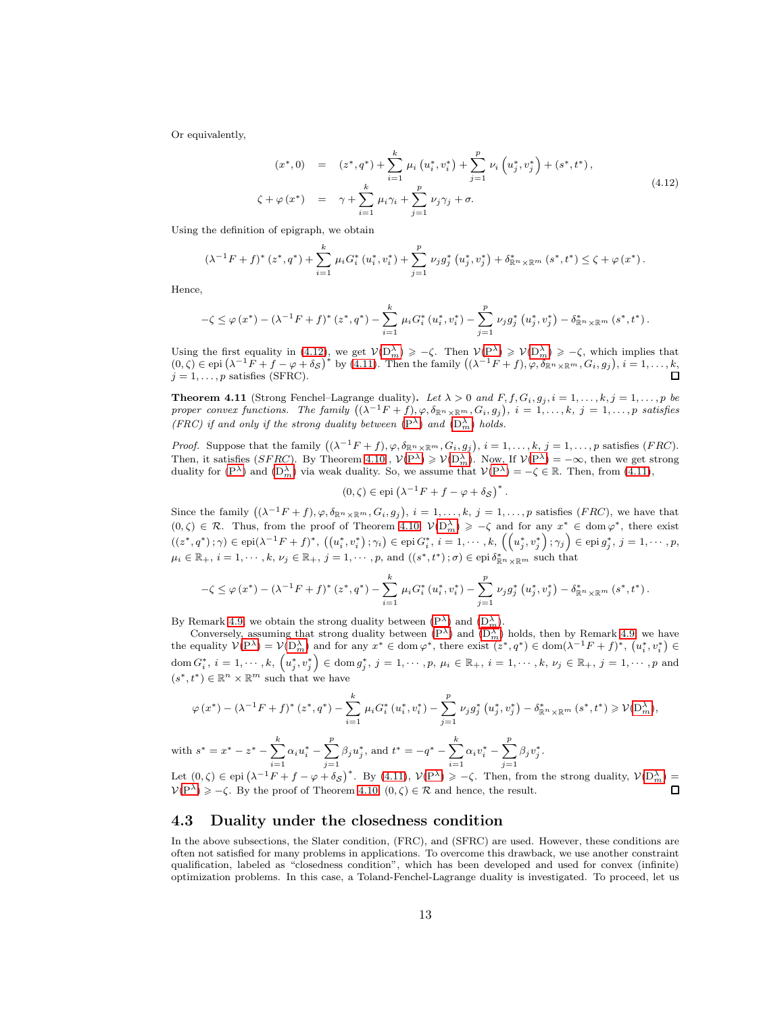Or equivalently,

<span id="page-12-0"></span>
$$
(x^*, 0) = (z^*, q^*) + \sum_{i=1}^k \mu_i (u_i^*, v_i^*) + \sum_{j=1}^p \nu_i (u_j^*, v_j^*) + (s^*, t^*),
$$
  

$$
\zeta + \varphi (x^*) = \gamma + \sum_{i=1}^k \mu_i \gamma_i + \sum_{j=1}^p \nu_j \gamma_j + \sigma.
$$
 (4.12)

Using the definition of epigraph, we obtain

$$
(\lambda^{-1}F+f)^{*}(z^{*},q^{*})+\sum_{i=1}^{k}\mu_{i}G_{i}^{*}(u_{i}^{*},v_{i}^{*})+\sum_{j=1}^{p}\nu_{j}g_{j}^{*}(u_{j}^{*},v_{j}^{*})+\delta_{\mathbb{R}^{n}\times\mathbb{R}^{m}}^{*}(s^{*},t^{*})\leq \zeta+\varphi(x^{*}).
$$

Hence,

$$
-\zeta \leq \varphi(x^*) - (\lambda^{-1}F + f)^*\left(z^*, q^*\right) - \sum_{i=1}^k \mu_i G_i^*\left(u_i^*, v_i^*\right) - \sum_{j=1}^p \nu_j g_j^*\left(u_j^*, v_j^*\right) - \delta_{\mathbb{R}^n \times \mathbb{R}^m}^*\left(s^*, t^*\right).
$$

Using the first equality in  $(4.12)$  $(4.12)$ , we get  $V(D_m^{\lambda}) \geq -\zeta$  $V(D_m^{\lambda}) \geq -\zeta$  $V(D_m^{\lambda}) \geq -\zeta$ . Then  $V(P^{\lambda}) \geq V(D_m^{\lambda}) \geq -\zeta$  $V(P^{\lambda}) \geq V(D_m^{\lambda}) \geq -\zeta$  $V(P^{\lambda}) \geq V(D_m^{\lambda}) \geq -\zeta$ , which implies that (0,  $\zeta$ )  $\in$  epi  $(\lambda^{-1}F + f - \varphi + \delta_{\mathcal{S}})^*$  by (4.[11\)](#page-11-0). Then the family  $((\lambda^{-1}F + f), \varphi, \delta_{\mathbb{R}^n \times \mathbb{R}^m}, G_i, g_j), i = 1, ..., k$ ,  $j=1,\ldots,p$  satisfies (SFRC).

**Theorem 4.11** (Strong Fenchel–Lagrange duality). Let  $\lambda > 0$  and  $F, f, G_i, g_j, i = 1, \ldots, k, j = 1, \ldots, p$  be proper convex functions. The family  $((\bar{\lambda}^{-1}F + f), \varphi, \delta_{\mathbb{R}^n \times \mathbb{R}^m}, G_i, g_j), i = 1, \ldots, k, j = 1, \ldots, p$  satisfies (FRC) if and only if the strong duality between  $(P^{\lambda})$  $(P^{\lambda})$  and  $(D_m^{\lambda})$  holds.

*Proof.* Suppose that the family  $((\lambda^{-1}F + f), \varphi, \delta_{\mathbb{R}^n \times \mathbb{R}^m}, G_i, g_j), i = 1, \ldots, k, j = 1, \ldots, p$  satisfies (*FRC*). Then, it satisfies (SFRC). By Theorem 4.[10](#page-10-1),  $V(P^{\lambda}) \geq V(D_{m}^{\lambda})$  $V(P^{\lambda}) \geq V(D_{m}^{\lambda})$  $V(P^{\lambda}) \geq V(D_{m}^{\lambda})$ . Now, If  $V(P^{\lambda}) = -\infty$ , then we get strong duality for  $(P^{\lambda})$  $(P^{\lambda})$  and  $(D_m^{\lambda})$  via weak duality. So, we assume that  $V(P^{\lambda}) = -\zeta \in \mathbb{R}$ . Then, from (4.[11\)](#page-11-0),

$$
(0,\zeta) \in \text{epi}\left(\lambda^{-1}F + f - \varphi + \delta_{\mathcal{S}}\right)^{*}
$$

.

Since the family  $((\lambda^{-1}F+f), \varphi, \delta_{\mathbb{R}^n \times \mathbb{R}^m}, G_i, g_j), i = 1, \ldots, k, j = 1, \ldots, p$  satisfies  $(FRC)$ , we have that  $(0,\zeta) \in \mathcal{R}$ . Thus, from the proof of Theorem [4.10,](#page-10-1)  $\mathcal{V}(D_m^{\lambda}) \geq -\zeta$  and for any  $x^* \in \text{dom } \varphi^*$ , there exist  $((z^*,q^*);\gamma)\in {\operatorname{epi}}(\lambda^{-1}F+f)^*, \ \left((u_i^*,v_i^*)\,; \gamma_i\right)\in {\operatorname{epi}}\, G_i^*,\ i=1,\cdots,k, \ \left(\left(u_j^*,v_j^*\right);\gamma_j\right)\in {\operatorname{epi}}\, g_j^*,\ j=1,\cdots,p,$  $\mu_i\in\mathbb{R}_+,\,i=1,\cdots,k,\,\nu_j\in\mathbb{R}_+,\,j=1,\cdots,p,\,\text{and}\,\left((s^*,t^*)\,;\sigma\right)\in\text{epi}\,\delta_{\mathbb{R}^n\times\mathbb{R}^m}^* \,\,\text{such that}$ 

$$
-\zeta \leq \varphi(x^*) - (\lambda^{-1}F + f)^* (z^*, q^*) - \sum_{i=1}^k \mu_i G_i^* (u_i^*, v_i^*) - \sum_{j=1}^p \nu_j g_j^* (u_j^*, v_j^*) - \delta_{\mathbb{R}^n \times \mathbb{R}^m}^* (s^*, t^*).
$$

By Remark [4](#page-10-2).9, we obtain the strong duality between  $(P^{\lambda})$  and  $(D^{\lambda}_{m})$ .

Conversely, assuming that strong duality between  $(P^{\lambda})$  and  $(D_m^{\lambda})$  holds, then by Remark [4](#page-10-2).9, we have the equality  $\mathcal{V}(P^{\lambda}) = \mathcal{V}(D_m^{\lambda})$  $\mathcal{V}(P^{\lambda}) = \mathcal{V}(D_m^{\lambda})$  $\mathcal{V}(P^{\lambda}) = \mathcal{V}(D_m^{\lambda})$  and for any  $x^* \in \text{dom } \varphi^*$ , there exist  $(z^*, q^*) \in \text{dom}(\lambda^{-1}F + f)^*$ ,  $(u_i^*, v_i^*) \in$  $\mathrm{dom}\, G_i^*,\ i=1,\cdots,k, \ \left(u_j^*,v_j^*\right)\in \mathrm{dom}\, g_j^*,\ j=1,\cdots,p,\ \mu_i\in\mathbb{R}_+,\ i=1,\cdots,k,\ \nu_j\in\mathbb{R}_+,\ j=1,\cdots,p\ \text{and}$  $(s^*, t^*) \in \mathbb{R}^n \times \mathbb{R}^m$  such that we have

$$
\varphi(x^*) - (\lambda^{-1}F + f)^* (z^*, q^*) - \sum_{i=1}^k \mu_i G_i^* (u_i^*, v_i^*) - \sum_{j=1}^p \nu_j g_j^* (u_j^*, v_j^*) - \delta_{\mathbb{R}^n \times \mathbb{R}^m}^* (s^*, t^*) \geq \mathcal{V}(\mathcal{D}_m^{\lambda}),
$$

with  $s^* = x^* - z^* - \sum_{k=1}^{k}$  $i=1$  $\alpha_i u_i^* - \sum^p$  $j=1$  $\beta_j u_j^* , \text{ and } t^* = -q^* - \sum_{}^k$  $i=1$  $\alpha_i v_i^* - \sum^p$  $j=1$  $\beta_j v_j^*$ .

Let  $(0, \zeta) \in epi (\lambda^{-1}F + f - \varphi + \delta_{\mathcal{S}})^{*}$ . By (4.[11\)](#page-11-0),  $\mathcal{V}(P^{\lambda}) \geq -\zeta$  $\mathcal{V}(P^{\lambda}) \geq -\zeta$  $\mathcal{V}(P^{\lambda}) \geq -\zeta$ . Then, from the strong duality,  $\mathcal{V}(D^{\lambda}_{m}) =$  $V(P^{\lambda}) \geq -\zeta$  $V(P^{\lambda}) \geq -\zeta$  $V(P^{\lambda}) \geq -\zeta$ . By the proof of Theorem [4.10,](#page-10-1)  $(0, \zeta) \in \mathcal{R}$  and hence, the result.  $\Box$ 

## 4.3 Duality under the closedness condition

In the above subsections, the Slater condition, (FRC), and (SFRC) are used. However, these conditions are often not satisfied for many problems in applications. To overcome this drawback, we use another constraint qualification, labeled as "closedness condition", which has been developed and used for convex (infinite) optimization problems. In this case, a Toland-Fenchel-Lagrange duality is investigated. To proceed, let us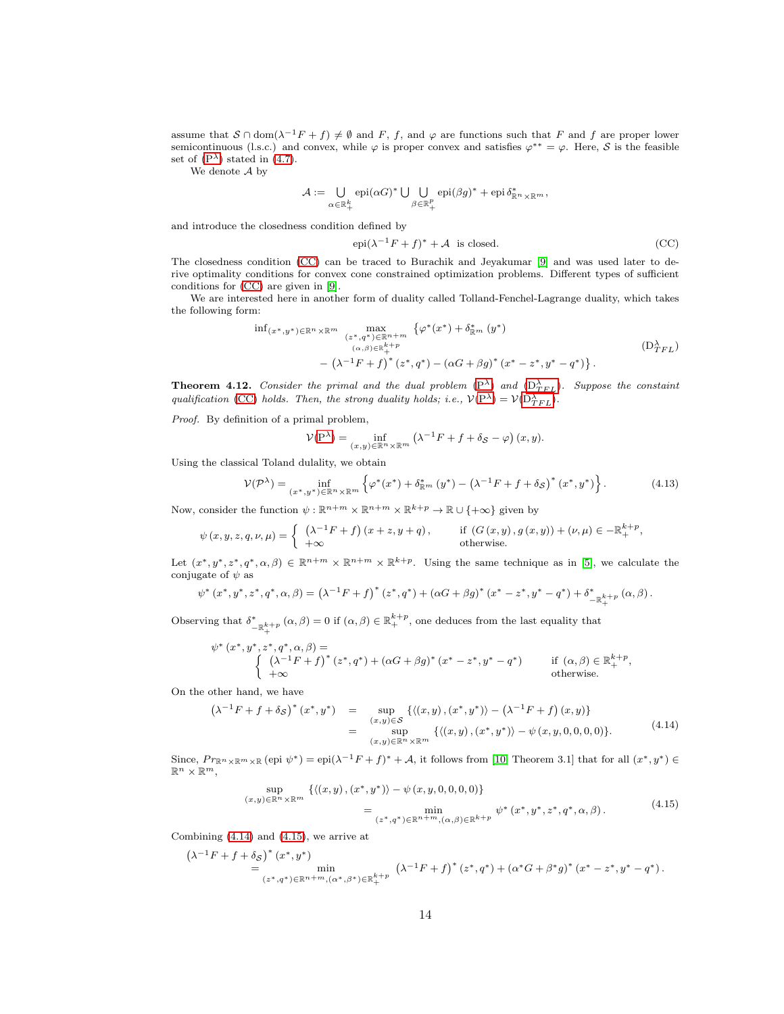assume that  $S \cap \text{dom}(\lambda^{-1}F + f) \neq \emptyset$  and F, f, and  $\varphi$  are functions such that F and f are proper lower semicontinuous (l.s.c.) and convex, while  $\varphi$  is proper convex and satisfies  $\varphi^{**} = \varphi$ . Here, S is the feasible set of  $(P^{\lambda})$  stated in  $(4.7)$  $(4.7)$ .

We denote A by

$$
\mathcal{A}:=\bigcup_{\alpha\in\mathbb{R}_+^k}\operatorname{epi}(\alpha G)^*\bigcup\bigcup_{\beta\in\mathbb{R}_+^p}\operatorname{epi}(\beta g)^*+\operatorname{epi}\delta_{\mathbb{R}^n\times\mathbb{R}^m}^*,
$$

and introduce the closedness condition defined by

<span id="page-13-1"></span><span id="page-13-0"></span>
$$
epi(\lambda^{-1}F + f)^* + A \text{ is closed.}
$$
 (CC)

The closedness condition [\(CC\)](#page-13-0) can be traced to Burachik and Jeyakumar [\[9\]](#page-17-15) and was used later to derive optimality conditions for convex cone constrained optimization problems. Different types of sufficient conditions for [\(CC\)](#page-13-0) are given in [\[9\]](#page-17-15).

We are interested here in another form of duality called Tolland-Fenchel-Lagrange duality, which takes the following form:

$$
\inf_{\substack{(x^*,y^*)\in\mathbb{R}^n\times\mathbb{R}^m\\ (\alpha,\beta)\in\mathbb{R}_+^{k+p}}}\n\frac{\max}{(z^*,q^*)\in\mathbb{R}^{n+m}}\n\{\varphi^*(x^*)+\delta_{\mathbb{R}^m}^*(y^*)\n\tag{D}^\lambda_{TFL}\n-\left(\lambda^{-1}F+f\right)^*(z^*,q^*)-\left(\alpha G+\beta g\right)^*(x^*-z^*,y^*-q^*)\}.
$$

**Theorem 4.12.** Consider the primal and the dual problem  $(P^{\lambda})$  $(P^{\lambda})$  and  $(D^{\lambda}_{TFL})$ . Suppose the constaint qualification [\(CC\)](#page-13-0) holds. Then, the strong duality holds; i.e.,  $\mathcal{V}(P^{\lambda}) = \mathcal{V}(D_{TFL}^{\lambda})$  $\mathcal{V}(P^{\lambda}) = \mathcal{V}(D_{TFL}^{\lambda})$  $\mathcal{V}(P^{\lambda}) = \mathcal{V}(D_{TFL}^{\lambda})$ .

Proof. By definition of a primal problem,

$$
\mathcal{V}(\mathbf{P}^{\lambda}) = \inf_{(x,y) \in \mathbb{R}^n \times \mathbb{R}^m} (\lambda^{-1} F + f + \delta_{\mathcal{S}} - \varphi) (x, y).
$$

Using the classical Toland dulality, we obtain

<span id="page-13-4"></span>
$$
\mathcal{V}(\mathcal{P}^{\lambda}) = \inf_{(x^*,y^*) \in \mathbb{R}^n \times \mathbb{R}^m} \left\{ \varphi^*(x^*) + \delta^*_{\mathbb{R}^m} (y^*) - \left(\lambda^{-1} F + f + \delta_{\mathcal{S}}\right)^* (x^*,y^*) \right\}.
$$
 (4.13)

Now, consider the function  $\psi : \mathbb{R}^{n+m} \times \mathbb{R}^{n+m} \times \mathbb{R}^{k+p} \to \mathbb{R} \cup \{+\infty\}$  given by

$$
\psi(x, y, z, q, \nu, \mu) = \begin{cases} \begin{array}{ll} \left(\lambda^{-1}F + f\right)(x + z, y + q), & \quad \text{if } \left(G(x, y), g(x, y)\right) + (\nu, \mu) \in -\mathbb{R}^{k+p}_+, \\ +\infty & \quad \text{otherwise.} \end{array} \end{cases}
$$

Let  $(x^*, y^*, z^*, q^*, \alpha, \beta) \in \mathbb{R}^{n+m} \times \mathbb{R}^{n+m} \times \mathbb{R}^{k+p}$ . Using the same technique as in [\[5\]](#page-16-3), we calculate the conjugate of  $\psi$  as

$$
\psi^*\left(x^*,y^*,z^*,q^*,\alpha,\beta\right)=\left(\lambda^{-1}F+f\right)^*(z^*,q^*)+\left(\alpha G+\beta g\right)^*(x^*-z^*,y^*-q^*)+\delta^*_{-\mathbb{R}^{k+p}_+}\left(\alpha,\beta\right).
$$

Observing that  $\delta^*_{-\mathbb{R}^{k+p}_+}(\alpha,\beta) = 0$  if  $(\alpha,\beta) \in \mathbb{R}^{k+p}_+$ , one deduces from the last equality that

$$
\psi^* (x^*, y^*, z^*, q^*, \alpha, \beta) = \n\begin{cases}\n\left(\lambda^{-1}F + f\right)^* (z^*, q^*) + (\alpha G + \beta g)^* (x^* - z^*, y^* - q^*) & \text{if } (\alpha, \beta) \in \mathbb{R}_+^{k+p}, \\
+\infty & \text{otherwise.}\n\end{cases}
$$

On the other hand, we have

<span id="page-13-2"></span>
$$
(\lambda^{-1}F + f + \delta_{\mathcal{S}})^{*}(x^{*}, y^{*}) = \sup_{(x,y)\in\mathcal{S}} \{ \langle (x,y), (x^{*}, y^{*}) \rangle - (\lambda^{-1}F + f)(x,y) \} = \sup_{(x,y)\in\mathbb{R}^{n}\times\mathbb{R}^{m}} \{ \langle (x,y), (x^{*}, y^{*}) \rangle - \psi(x,y,0,0,0,0) \}.
$$
 (4.14)

Since,  $Pr_{\mathbb{R}^n \times \mathbb{R}^m \times \mathbb{R}}$  (epi  $\psi^*$ ) = epi $(\lambda^{-1}F + f)^* + A$ , it follows from [\[10,](#page-17-16) Theorem 3.1] that for all  $(x^*, y^*) \in$  $\mathbb{R}^n \times \mathbb{R}^m$ .

$$
\sup_{(y)\in\mathbb{R}^n\times\mathbb{R}^m} \left\{ \langle (x,y), (x^*,y^*) \rangle - \psi(x,y,0,0,0,0) \right\}
$$
\n
$$
= \min_{(z^*,q^*)\in\mathbb{R}^n+m, (\alpha,\beta)\in\mathbb{R}^{k+p}} \psi^*(x^*,y^*,z^*,q^*,\alpha,\beta). \tag{4.15}
$$

Combining (4.[14\)](#page-13-2) and (4.[15\)](#page-13-3), we arrive at

<span id="page-13-3"></span> $(x,$ 

$$
\begin{array}{ll} \left( \lambda^{-1}F+f+\delta_{\mathcal{S}}\right)^{*}\left(x^{*},y^{*}\right) & \displaystyle\min_{\left(z^{*},q^{*}\right)\in\mathbb{R}^{n+m},\left(\alpha^{*},\beta^{*}\right)\in\mathbb{R}_{+}^{k+p}}\right. \\ \hspace{2cm}\left.\left.\left(\lambda^{-1}F+f\right)^{*}\left(z^{*},q^{*}\right)+\left(\alpha^{*}G+\beta^{*}g\right)^{*}\left(x^{*}-z^{*},y^{*}-q^{*}\right).\right. \end{array}
$$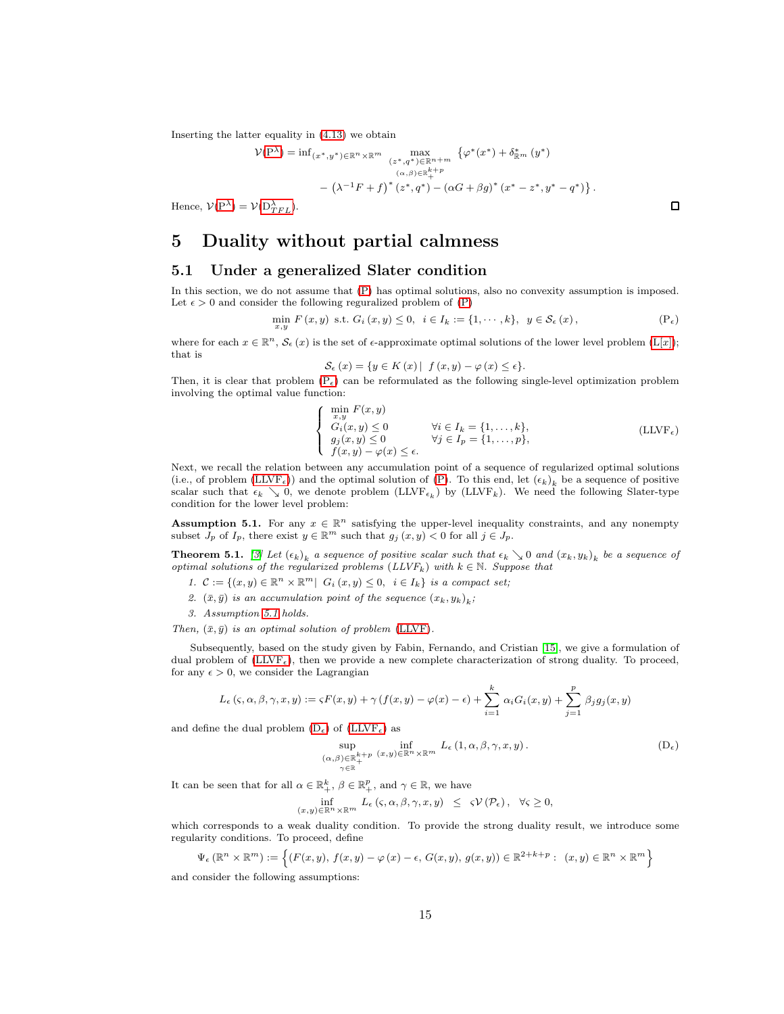Inserting the latter equality in (4.[13\)](#page-13-4) we obtain

$$
\mathcal{V}(\mathbf{P}^{\lambda}) = \inf_{(x^*, y^*) \in \mathbb{R}^n \times \mathbb{R}^m} \max_{\substack{(z^*, q^*) \in \mathbb{R}^{n+m} \\ (\alpha, \beta) \in \mathbb{R}^{k+p} \\ +}} \{ \varphi^*(x^*) + \delta^*_{\mathbb{R}^m} (y^*) \\ - (\lambda^{-1} F + f)^* (z^*, q^*) - (\alpha G + \beta g)^* (x^* - z^*, y^* - q^*) \}.
$$

Hence,  $V(P^{\lambda}) = V(D_{TFL}^{\lambda}).$  $V(P^{\lambda}) = V(D_{TFL}^{\lambda}).$  $V(P^{\lambda}) = V(D_{TFL}^{\lambda}).$ 

# 5 Duality without partial calmness

## 5.1 Under a generalized Slater condition

In this section, we do not assume that [\(P\)](#page-0-3) has optimal solutions, also no convexity assumption is imposed. Let  $\epsilon > 0$  and consider the following reguralized problem of [\(P\)](#page-0-3)

$$
\min_{x,y} F(x,y) \text{ s.t. } G_i(x,y) \le 0, \quad i \in I_k := \{1, \cdots, k\}, \quad y \in \mathcal{S}_{\epsilon}(x),
$$
\n
$$
(P_{\epsilon})
$$

where for each  $x \in \mathbb{R}^n$ ,  $\mathcal{S}_{\epsilon}(x)$  is the set of  $\epsilon$ -approximate optimal solutions of the lower level problem  $(L[x])$ ; that is

$$
\mathcal{S}_{\epsilon}(x) = \{ y \in K(x) | f(x, y) - \varphi(x) \leq \epsilon \}.
$$

Then, it is clear that problem  $(P_{\epsilon})$  can be reformulated as the following single-level optimization problem involving the optimal value function:

$$
\begin{cases}\n\min_{x,y} F(x,y) \\
G_i(x,y) \le 0 \\
g_j(x,y) \le 0 \\
f(x,y) - \varphi(x) \le \epsilon.\n\end{cases}\n\forall j \in I_k = \{1, \dots, k\},\n\tag{LLVF\epsilon}
$$
\n
$$
\forall j \in I_p = \{1, \dots, p\},\n\tag{LLVF\epsilon}
$$

Next, we recall the relation between any accumulation point of a sequence of regularized optimal solutions (i.e., of problem [\(LLVF](#page-14-1)<sub> $\epsilon$ </sub>)) and the optimal solution of [\(P\)](#page-0-3). To this end, let  $(\epsilon_k)_k$  be a sequence of positive scalar such that  $\epsilon_k \searrow 0$ , we denote problem  $(LIVF_{\epsilon_k})$  by  $(LIVF_k)$ . We need the following Slater-type condition for the lower level problem:

<span id="page-14-2"></span>**Assumption 5.1.** For any  $x \in \mathbb{R}^n$  satisfying the upper-level inequality constraints, and any nonempty subset  $J_p$  of  $I_p$ , there exist  $y \in \mathbb{R}^m$  such that  $g_j(x, y) < 0$  for all  $j \in J_p$ .

**Theorem 5.1.** [\[3\]](#page-16-1) Let  $(\epsilon_k)_k$  a sequence of positive scalar such that  $\epsilon_k \searrow 0$  and  $(x_k, y_k)_k$  be a sequence of optimal solutions of the regularized problems  $(LLVF_k)$  with  $k \in \mathbb{N}$ . Suppose that

- 1.  $\mathcal{C} := \{(x, y) \in \mathbb{R}^n \times \mathbb{R}^m \mid G_i(x, y) \leq 0, i \in I_k\}$  is a compact set;
- 2.  $(\bar{x}, \bar{y})$  is an accumulation point of the sequence  $(x_k, y_k)_k$ ;
- 3. Assumption [5.1](#page-14-2) holds.

Then,  $(\bar{x}, \bar{y})$  is an optimal solution of problem [\(LLVF\)](#page-3-2).

Subsequently, based on the study given by Fabin, Fernando, and Cristian [\[15\]](#page-17-10), we give a formulation of dual problem of  $(LIVF_{\epsilon})$ , then we provide a new complete characterization of strong duality. To proceed, for any  $\epsilon > 0$ , we consider the Lagrangian

$$
L_{\epsilon}(\varsigma,\alpha,\beta,\gamma,x,y):=\varsigma F(x,y)+\gamma\left(f(x,y)-\varphi(x)-\epsilon\right)+\sum_{i=1}^{k}\alpha_{i}G_{i}(x,y)+\sum_{j=1}^{p}\beta_{j}g_{j}(x,y)
$$

and define the dual problem  $(D_{\epsilon})$  of  $(LLVF_{\epsilon})$  as

<span id="page-14-3"></span>
$$
\sup_{\substack{(\alpha,\beta)\in\mathbb{R}_{+}^{k+p} \\ \gamma\in\mathbb{R}}} \inf_{(x,y)\in\mathbb{R}^{n}\times\mathbb{R}^{m}} L_{\epsilon}(1,\alpha,\beta,\gamma,x,y).
$$
\n(D<sub>\epsilon</sub>)

It can be seen that for all  $\alpha \in \mathbb{R}^k_+$ ,  $\beta \in \mathbb{R}^p_+$ , and  $\gamma \in \mathbb{R}$ , we have

$$
\inf_{(x,y)\in\mathbb{R}^n\times\mathbb{R}^m} L_{\epsilon}\left(\varsigma,\alpha,\beta,\gamma,x,y\right) \leq \varsigma \mathcal{V}\left(\mathcal{P}_{\epsilon}\right), \quad \forall \varsigma \geq 0,
$$

which corresponds to a weak duality condition. To provide the strong duality result, we introduce some regularity conditions. To proceed, define

$$
\Psi_{\epsilon}(\mathbb{R}^n \times \mathbb{R}^m) := \left\{ (F(x, y), f(x, y) - \varphi(x) - \epsilon, G(x, y), g(x, y)) \in \mathbb{R}^{2+k+p} : (x, y) \in \mathbb{R}^n \times \mathbb{R}^m \right\}
$$

and consider the following assumptions:

<span id="page-14-1"></span><span id="page-14-0"></span> $\Box$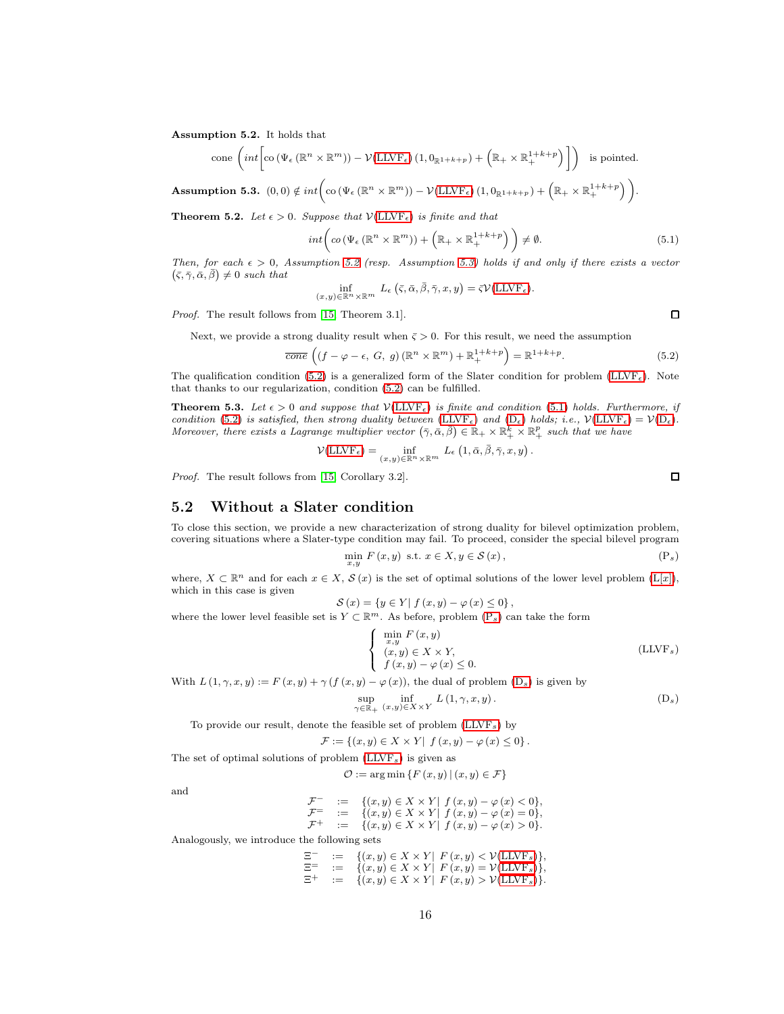<span id="page-15-0"></span>Assumption 5.2. It holds that

cone 
$$
\left(int\left[\text{co}\left(\Psi_{\epsilon}\left(\mathbb{R}^{n}\times\mathbb{R}^{m}\right)\right)-\mathcal{V}(\text{LLVF}_{\epsilon})\left(1,0_{\mathbb{R}^{1+k+p}}\right)+\left(\mathbb{R}_{+}\times\mathbb{R}_{+}^{1+k+p}\right)\right]\right)
$$
 is pointed.

<span id="page-15-1"></span> $\textbf{Assumption 5.3.} \hspace{0.5em} (0,0) \notin int \bigg( \text{co} \left( \Psi_{\epsilon} \left( \mathbb{R}^{n} \times \mathbb{R}^{m} \right) \right) - \mathcal{V}(\text{LLVF}_{\epsilon}) \left( 1, 0_{\mathbb{R}^{1+k+p}} \right) + \left( \mathbb{R}_{+} \times \mathbb{R}_{+}^{1+k+p} \right) \bigg).$ 

**Theorem 5.2.** Let  $\epsilon > 0$ . Suppose that  $V(\text{LLVF}_{\epsilon})$  is finite and that

 $(x,$ 

<span id="page-15-3"></span>
$$
int\left( co\left( \Psi_{\epsilon} \left( \mathbb{R}^{n} \times \mathbb{R}^{m} \right) \right) + \left( \mathbb{R}_{+} \times \mathbb{R}_{+}^{1+k+p} \right) \right) \neq \emptyset. \tag{5.1}
$$

Then, for each  $\epsilon > 0$ , Assumption [5.2](#page-15-0) (resp. Assumption [5.3\)](#page-15-1) holds if and only if there exists a vector  $(\bar{\varsigma}, \bar{\gamma}, \bar{\alpha}, \bar{\beta}) \neq 0$  such that

$$
\inf_{y,\,y\,\in\mathbb{R}^n\times\mathbb{R}^m} L_{\epsilon}\left(\bar{\varsigma},\bar{\alpha},\bar{\beta},\bar{\gamma},x,y\right)=\bar{\varsigma}\mathcal{V}(\text{LLVF}_{\epsilon}).
$$

Proof. The result follows from [\[15,](#page-17-10) Theorem 3.1].

Next, we provide a strong duality result when  $\bar{\varsigma} > 0$ . For this result, we need the assumption

<span id="page-15-2"></span>
$$
\overline{cone}\left((f-\varphi-\epsilon,\ G,\ g\right)(\mathbb{R}^n\times\mathbb{R}^m)+\mathbb{R}^{1+k+p}_+\right)=\mathbb{R}^{1+k+p}.\tag{5.2}
$$

The qualification condition [\(5.2\)](#page-15-2) is a generalized form of the Slater condition for problem [\(LLVF](#page-14-1)<sub> $\epsilon$ </sub>). Note that thanks to our regularization, condition [\(5.2\)](#page-15-2) can be fulfilled.

**Theorem 5.3.** Let  $\epsilon > 0$  and suppose that  $V(\text{LLVF}_{\epsilon})$  is finite and condition [\(5.1\)](#page-15-3) holds. Furthermore, if condition [\(5.2\)](#page-15-2) is satisfied, then strong duality between [\(LLVF](#page-14-1)<sub> $\epsilon$ </sub>) and [\(D](#page-14-3)<sub> $\epsilon$ </sub>) holds; i.e.,  $\mathcal{V}(\text{LLVF}_{\epsilon}) = \mathcal{V}(\text{D}_{\epsilon})$ . Moreover, there exists a Lagrange multiplier vector  $(\bar{\gamma}, \bar{\alpha}, \bar{\beta}) \in \mathbb{R}_+ \times \mathbb{R}_+^k \times \mathbb{R}_+^p$  such that we have

$$
\mathcal{V}(\text{LLVF}_{\epsilon}) = \inf_{(x,y)\in\mathbb{R}^n\times\mathbb{R}^m} \ L_{\epsilon}\left(1,\bar{\alpha},\bar{\beta},\bar{\gamma},x,y\right).
$$

Proof. The result follows from [\[15,](#page-17-10) Corollary 3.2].

#### 5.2 Without a Slater condition

To close this section, we provide a new characterization of strong duality for bilevel optimization problem, covering situations where a Slater-type condition may fail. To proceed, consider the special bilevel program

$$
\min_{x,y} F(x,y) \text{ s.t. } x \in X, y \in \mathcal{S}(x), \tag{P_s}
$$

where,  $X \\\subset \mathbb{R}^n$  and for each  $x \\in X$ ,  $S(x)$  is the set of optimal solutions of the lower level problem  $(L[x])$ , which in this case is given

$$
\mathcal{S}(x) = \{ y \in Y | f(x, y) - \varphi(x) \leq 0 \},
$$

where the lower level feasible set is  $Y \subset \mathbb{R}^m$ . As before, problem  $(P_s)$  can take the form

$$
\begin{cases}\n\min_{x,y} F(x,y) \\
(x,y) \in X \times Y, \\
f(x,y) - \varphi(x) \le 0.\n\end{cases}
$$
\n(LLYF<sub>s</sub>)

With  $L(1, \gamma, x, y) := F(x, y) + \gamma (f(x, y) - \varphi(x))$ , the dual of problem  $(D_s)$  is given by

$$
\sup_{\gamma \in \mathbb{R}_+} \inf_{(x,y) \in X \times Y} L(1, \gamma, x, y).
$$
 (D<sub>s</sub>)

To provide our result, denote the feasible set of problem  $(LLYF_s)$  by

$$
\mathcal{F} := \{(x, y) \in X \times Y \mid f(x, y) - \varphi(x) \leq 0\}.
$$

The set of optimal solutions of problem  $(LLVF_s)$  is given as

$$
\mathcal{O} := \arg\min\left\{ F\left(x, y\right) \,|\, (x, y) \in \mathcal{F} \right\}
$$

and

$$
\mathcal{F}^- := \{ (x, y) \in X \times Y \mid f(x, y) - \varphi(x) < 0 \},
$$
\n
$$
\mathcal{F}^- := \{ (x, y) \in X \times Y \mid f(x, y) - \varphi(x) = 0 \},
$$
\n
$$
\mathcal{F}^+ := \{ (x, y) \in X \times Y \mid f(x, y) - \varphi(x) > 0 \}.
$$

Analogously, we introduce the following sets

$$
\Xi^{-} := \{ (x, y) \in X \times Y \mid F(x, y) < \mathcal{V}(\text{LLVF}_s) \},
$$
\n
$$
\Xi^{-} := \{ (x, y) \in X \times Y \mid F(x, y) = \mathcal{V}(\text{LLVF}_s) \},
$$
\n
$$
\Xi^{+} := \{ (x, y) \in X \times Y \mid F(x, y) > \mathcal{V}(\text{LLVF}_s) \}.
$$

 $\Box$ 

<span id="page-15-6"></span><span id="page-15-5"></span><span id="page-15-4"></span> $\Box$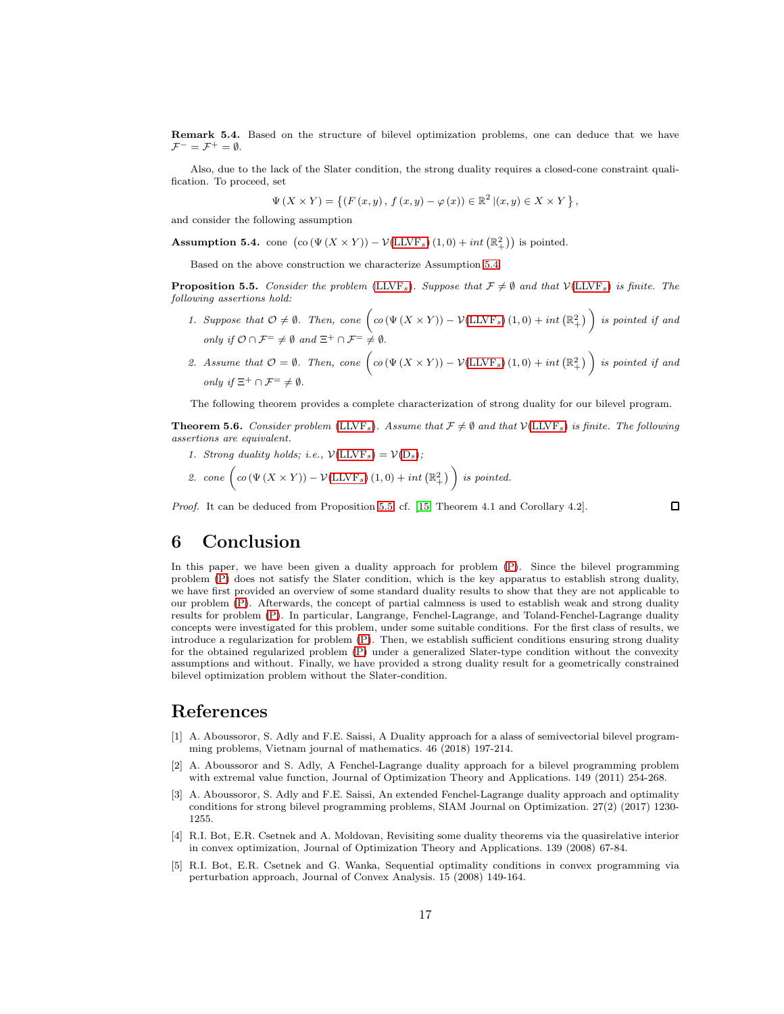Remark 5.4. Based on the structure of bilevel optimization problems, one can deduce that we have  $\mathcal{F}^- = \mathcal{F}^+ = \emptyset.$ 

Also, due to the lack of the Slater condition, the strong duality requires a closed-cone constraint qualification. To proceed, set

$$
\Psi(X \times Y) = \{ (F(x, y), f(x, y) - \varphi(x)) \in \mathbb{R}^2 | (x, y) \in X \times Y \},
$$

and consider the following assumption

<span id="page-16-4"></span>Assumption 5.4. cone  $\left(\text{co}\left(\Psi\left(X\times Y\right)\right)-\mathcal{V}(\text{LLVF}_s)\left(1,0\right)+\text{int}\left(\mathbb{R}^2_+\right)\right)$  is pointed.

Based on the above construction we characterize Assumption [5.4.](#page-16-4)

<span id="page-16-5"></span>**Proposition 5.5.** Consider the problem [\(LLVF](#page-15-6)s). Suppose that  $\mathcal{F} \neq \emptyset$  and that  $\mathcal{V}(\text{LLVF}_s)$  is finite. The following assertions hold:

- 1. Suppose that  $\mathcal{O} \neq \emptyset$ . Then, cone  $\left( co(\Psi(X \times Y)) \mathcal{V}(\text{LLVF}_s)(1,0) + int(\mathbb{R}^2_+) \right)$  is pointed if and only if  $\mathcal{O} \cap \mathcal{F}^- \neq \emptyset$  and  $\Xi^+ \cap \mathcal{F}^- \neq \emptyset$ .
- 2. Assume that  $\mathcal{O} = \emptyset$ . Then, cone  $\left( co(\Psi(X \times Y)) \mathcal{V}(\text{LLVF}_s)(1,0) + int(\mathbb{R}^2_+) \right)$  is pointed if and only if  $\Xi^+ \cap \mathcal{F}^- \neq \emptyset$ .

The following theorem provides a complete characterization of strong duality for our bilevel program.

**Theorem 5.6.** Consider problem [\(LLVF](#page-15-6)<sub>s</sub>). Assume that  $\mathcal{F} \neq \emptyset$  and that  $\mathcal{V}(\text{LLVF}_s)$  is finite. The following assertions are equivalent.

- 1. Strong duality holds; i.e.,  $\mathcal{V}(\text{LLVF}_s) = \mathcal{V}(D_s)$  $\mathcal{V}(\text{LLVF}_s) = \mathcal{V}(D_s)$  $\mathcal{V}(\text{LLVF}_s) = \mathcal{V}(D_s)$ ;
- 2. cone  $\Big(\,co\left(\Psi\left(X\times Y\right)\right)-\mathcal{V}(\text{LLVF}_s)\left(1,0\right)+int\left(\mathbb{R}^2_+\right)\,\Big)\,$  is pointed.

Proof. It can be deduced from Proposition [5.5;](#page-16-5) cf. [\[15,](#page-17-10) Theorem 4.1 and Corollary 4.2].

 $\Box$ 

# 6 Conclusion

In this paper, we have been given a duality approach for problem [\(P\)](#page-0-3). Since the bilevel programming problem [\(P\)](#page-0-3) does not satisfy the Slater condition, which is the key apparatus to establish strong duality, we have first provided an overview of some standard duality results to show that they are not applicable to our problem [\(P\)](#page-0-3). Afterwards, the concept of partial calmness is used to establish weak and strong duality results for problem [\(P\)](#page-0-3). In particular, Langrange, Fenchel-Lagrange, and Toland-Fenchel-Lagrange duality concepts were investigated for this problem, under some suitable conditions. For the first class of results, we introduce a regularization for problem [\(P\)](#page-0-3). Then, we establish sufficient conditions ensuring strong duality for the obtained regularized problem [\(P\)](#page-0-3) under a generalized Slater-type condition without the convexity assumptions and without. Finally, we have provided a strong duality result for a geometrically constrained bilevel optimization problem without the Slater-condition.

# References

- [1] A. Aboussoror, S. Adly and F.E. Saissi, A Duality approach for a alass of semivectorial bilevel programming problems, Vietnam journal of mathematics. 46 (2018) 197-214.
- <span id="page-16-0"></span>[2] A. Aboussoror and S. Adly, A Fenchel-Lagrange duality approach for a bilevel programming problem with extremal value function, Journal of Optimization Theory and Applications. 149 (2011) 254-268.
- <span id="page-16-1"></span>[3] A. Aboussoror, S. Adly and F.E. Saissi, An extended Fenchel-Lagrange duality approach and optimality conditions for strong bilevel programming problems, SIAM Journal on Optimization. 27(2) (2017) 1230- 1255.
- <span id="page-16-2"></span>[4] R.I. Bot, E.R. Csetnek and A. Moldovan, Revisiting some duality theorems via the quasirelative interior in convex optimization, Journal of Optimization Theory and Applications. 139 (2008) 67-84.
- <span id="page-16-3"></span>[5] R.I. Bot, E.R. Csetnek and G. Wanka, Sequential optimality conditions in convex programming via perturbation approach, Journal of Convex Analysis. 15 (2008) 149-164.